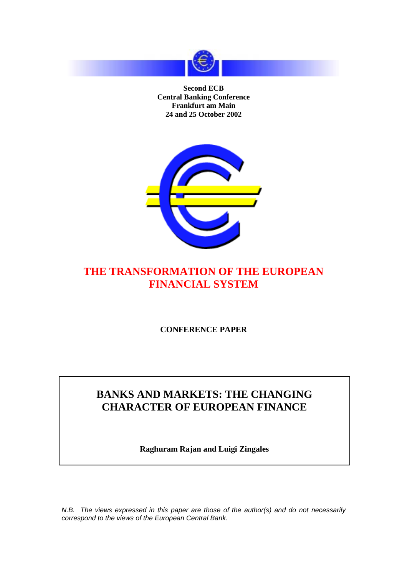

**Second ECB Central Banking Conference Frankfurt am Main 24 and 25 October 2002**



## **THE TRANSFORMATION OF THE EUROPEAN FINANCIAL SYSTEM**

**CONFERENCE PAPER**

## **BANKS AND MARKETS: THE CHANGING CHARACTER OF EUROPEAN FINANCE**

**Raghuram Rajan and Luigi Zingales**

N.B. The views expressed in this paper are those of the author(s) and do not necessarily correspond to the views of the European Central Bank.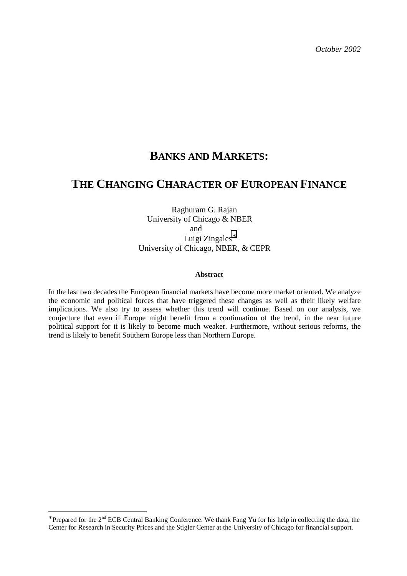*October 2002*

## **BANKS AND MARKETS:**

## **THE CHANGING CHARACTER OF EUROPEAN FINANCE**

Raghuram G. Rajan University of Chicago & NBER and Luigi Zingales<sup>\*</sup> University of Chicago, NBER, & CEPR

#### **Abstract**

In the last two decades the European financial markets have become more market oriented. We analyze the economic and political forces that have triggered these changes as well as their likely welfare implications. We also try to assess whether this trend will continue. Based on our analysis, we conjecture that even if Europe might benefit from a continuation of the trend, in the near future political support for it is likely to become much weaker. Furthermore, without serious reforms, the trend is likely to benefit Southern Europe less than Northern Europe.

 $\overline{a}$ 

<sup>∗</sup> Prepared for the 2<sup>nd</sup> ECB Central Banking Conference. We thank Fang Yu for his help in collecting the data, the Center for Research in Security Prices and the Stigler Center at the University of Chicago for financial support.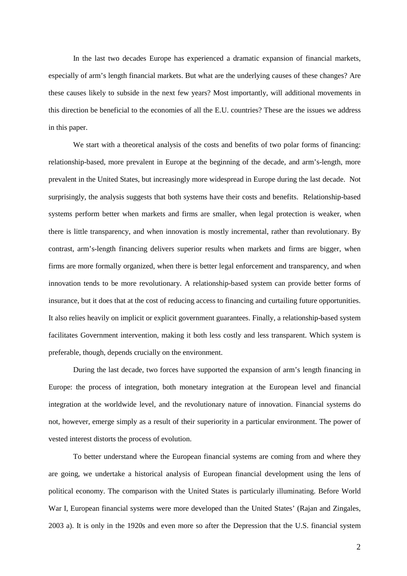In the last two decades Europe has experienced a dramatic expansion of financial markets, especially of arm's length financial markets. But what are the underlying causes of these changes? Are these causes likely to subside in the next few years? Most importantly, will additional movements in this direction be beneficial to the economies of all the E.U. countries? These are the issues we address in this paper.

We start with a theoretical analysis of the costs and benefits of two polar forms of financing: relationship-based, more prevalent in Europe at the beginning of the decade, and arm's-length, more prevalent in the United States, but increasingly more widespread in Europe during the last decade. Not surprisingly, the analysis suggests that both systems have their costs and benefits. Relationship-based systems perform better when markets and firms are smaller, when legal protection is weaker, when there is little transparency, and when innovation is mostly incremental, rather than revolutionary. By contrast, arm's-length financing delivers superior results when markets and firms are bigger, when firms are more formally organized, when there is better legal enforcement and transparency, and when innovation tends to be more revolutionary. A relationship-based system can provide better forms of insurance, but it does that at the cost of reducing access to financing and curtailing future opportunities. It also relies heavily on implicit or explicit government guarantees. Finally, a relationship-based system facilitates Government intervention, making it both less costly and less transparent. Which system is preferable, though, depends crucially on the environment.

During the last decade, two forces have supported the expansion of arm's length financing in Europe: the process of integration, both monetary integration at the European level and financial integration at the worldwide level, and the revolutionary nature of innovation. Financial systems do not, however, emerge simply as a result of their superiority in a particular environment. The power of vested interest distorts the process of evolution.

To better understand where the European financial systems are coming from and where they are going, we undertake a historical analysis of European financial development using the lens of political economy. The comparison with the United States is particularly illuminating. Before World War I, European financial systems were more developed than the United States' (Rajan and Zingales, 2003 a). It is only in the 1920s and even more so after the Depression that the U.S. financial system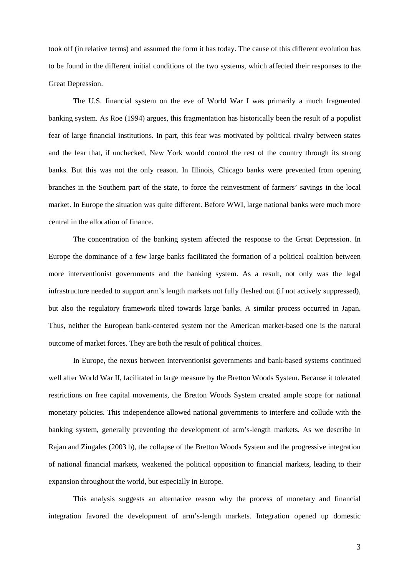took off (in relative terms) and assumed the form it has today. The cause of this different evolution has to be found in the different initial conditions of the two systems, which affected their responses to the Great Depression.

The U.S. financial system on the eve of World War I was primarily a much fragmented banking system. As Roe (1994) argues, this fragmentation has historically been the result of a populist fear of large financial institutions. In part, this fear was motivated by political rivalry between states and the fear that, if unchecked, New York would control the rest of the country through its strong banks. But this was not the only reason. In Illinois, Chicago banks were prevented from opening branches in the Southern part of the state, to force the reinvestment of farmers' savings in the local market. In Europe the situation was quite different. Before WWI, large national banks were much more central in the allocation of finance.

The concentration of the banking system affected the response to the Great Depression. In Europe the dominance of a few large banks facilitated the formation of a political coalition between more interventionist governments and the banking system. As a result, not only was the legal infrastructure needed to support arm's length markets not fully fleshed out (if not actively suppressed), but also the regulatory framework tilted towards large banks. A similar process occurred in Japan. Thus, neither the European bank-centered system nor the American market-based one is the natural outcome of market forces. They are both the result of political choices.

In Europe, the nexus between interventionist governments and bank-based systems continued well after World War II, facilitated in large measure by the Bretton Woods System. Because it tolerated restrictions on free capital movements, the Bretton Woods System created ample scope for national monetary policies. This independence allowed national governments to interfere and collude with the banking system, generally preventing the development of arm's-length markets. As we describe in Rajan and Zingales (2003 b), the collapse of the Bretton Woods System and the progressive integration of national financial markets, weakened the political opposition to financial markets, leading to their expansion throughout the world, but especially in Europe.

This analysis suggests an alternative reason why the process of monetary and financial integration favored the development of arm's-length markets. Integration opened up domestic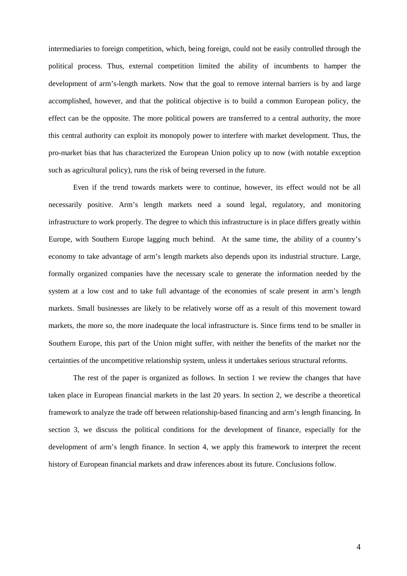intermediaries to foreign competition, which, being foreign, could not be easily controlled through the political process. Thus, external competition limited the ability of incumbents to hamper the development of arm's-length markets. Now that the goal to remove internal barriers is by and large accomplished, however, and that the political objective is to build a common European policy, the effect can be the opposite. The more political powers are transferred to a central authority, the more this central authority can exploit its monopoly power to interfere with market development. Thus, the pro-market bias that has characterized the European Union policy up to now (with notable exception such as agricultural policy), runs the risk of being reversed in the future.

Even if the trend towards markets were to continue, however, its effect would not be all necessarily positive. Arm's length markets need a sound legal, regulatory, and monitoring infrastructure to work properly. The degree to which this infrastructure is in place differs greatly within Europe, with Southern Europe lagging much behind. At the same time, the ability of a country's economy to take advantage of arm's length markets also depends upon its industrial structure. Large, formally organized companies have the necessary scale to generate the information needed by the system at a low cost and to take full advantage of the economies of scale present in arm's length markets. Small businesses are likely to be relatively worse off as a result of this movement toward markets, the more so, the more inadequate the local infrastructure is. Since firms tend to be smaller in Southern Europe, this part of the Union might suffer, with neither the benefits of the market nor the certainties of the uncompetitive relationship system, unless it undertakes serious structural reforms.

The rest of the paper is organized as follows. In section 1 we review the changes that have taken place in European financial markets in the last 20 years. In section 2, we describe a theoretical framework to analyze the trade off between relationship-based financing and arm's length financing. In section 3, we discuss the political conditions for the development of finance, especially for the development of arm's length finance. In section 4, we apply this framework to interpret the recent history of European financial markets and draw inferences about its future. Conclusions follow.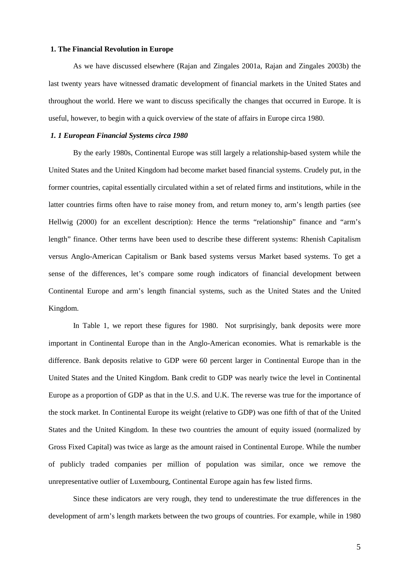#### **1. The Financial Revolution in Europe**

As we have discussed elsewhere (Rajan and Zingales 2001a, Rajan and Zingales 2003b) the last twenty years have witnessed dramatic development of financial markets in the United States and throughout the world. Here we want to discuss specifically the changes that occurred in Europe. It is useful, however, to begin with a quick overview of the state of affairs in Europe circa 1980.

#### *1. 1 European Financial Systems circa 1980*

By the early 1980s, Continental Europe was still largely a relationship-based system while the United States and the United Kingdom had become market based financial systems. Crudely put, in the former countries, capital essentially circulated within a set of related firms and institutions, while in the latter countries firms often have to raise money from, and return money to, arm's length parties (see Hellwig (2000) for an excellent description): Hence the terms "relationship" finance and "arm's length" finance. Other terms have been used to describe these different systems: Rhenish Capitalism versus Anglo-American Capitalism or Bank based systems versus Market based systems. To get a sense of the differences, let's compare some rough indicators of financial development between Continental Europe and arm's length financial systems, such as the United States and the United Kingdom.

In Table 1, we report these figures for 1980. Not surprisingly, bank deposits were more important in Continental Europe than in the Anglo-American economies. What is remarkable is the difference. Bank deposits relative to GDP were 60 percent larger in Continental Europe than in the United States and the United Kingdom. Bank credit to GDP was nearly twice the level in Continental Europe as a proportion of GDP as that in the U.S. and U.K. The reverse was true for the importance of the stock market. In Continental Europe its weight (relative to GDP) was one fifth of that of the United States and the United Kingdom. In these two countries the amount of equity issued (normalized by Gross Fixed Capital) was twice as large as the amount raised in Continental Europe. While the number of publicly traded companies per million of population was similar, once we remove the unrepresentative outlier of Luxembourg, Continental Europe again has few listed firms.

Since these indicators are very rough, they tend to underestimate the true differences in the development of arm's length markets between the two groups of countries. For example, while in 1980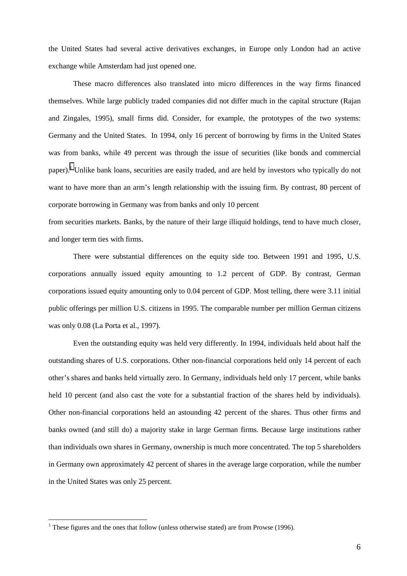the United States had several active derivatives exchanges, in Europe only London had an active exchange while Amsterdam had just opened one.

These macro differences also translated into micro differences in the way firms financed themselves. While large publicly traded companies did not differ much in the capital structure (Rajan and Zingales, 1995), small firms did. Consider, for example, the prototypes of the two systems: Germany and the United States. In 1994, only 16 percent of borrowing by firms in the United States was from banks, while 49 percent was through the issue of securities (like bonds and commercial paper).<sup>1</sup> Unlike bank loans, securities are easily traded, and are held by investors who typically do not want to have more than an arm's length relationship with the issuing firm. By contrast, 80 percent of corporate borrowing in Germany was from banks and only 10 percent

from securities markets. Banks, by the nature of their large illiquid holdings, tend to have much closer, and longer term ties with firms.

There were substantial differences on the equity side too. Between 1991 and 1995, U.S. corporations annually issued equity amounting to 1.2 percent of GDP. By contrast, German corporations issued equity amounting only to 0.04 percent of GDP. Most telling, there were 3.11 initial public offerings per million U.S. citizens in 1995. The comparable number per million German citizens was only 0.08 (La Porta et al., 1997).

Even the outstanding equity was held very differently. In 1994, individuals held about half the outstanding shares of U.S. corporations. Other non-financial corporations held only 14 percent of each other's shares and banks held virtually zero. In Germany, individuals held only 17 percent, while banks held 10 percent (and also cast the vote for a substantial fraction of the shares held by individuals). Other non-financial corporations held an astounding 42 percent of the shares. Thus other firms and banks owned (and still do) a majority stake in large German firms. Because large institutions rather than individuals own shares in Germany, ownership is much more concentrated. The top 5 shareholders in Germany own approximately 42 percent of shares in the average large corporation, while the number in the United States was only 25 percent.

 $\overline{a}$ 

<sup>&</sup>lt;sup>1</sup> These figures and the ones that follow (unless otherwise stated) are from Prowse (1996).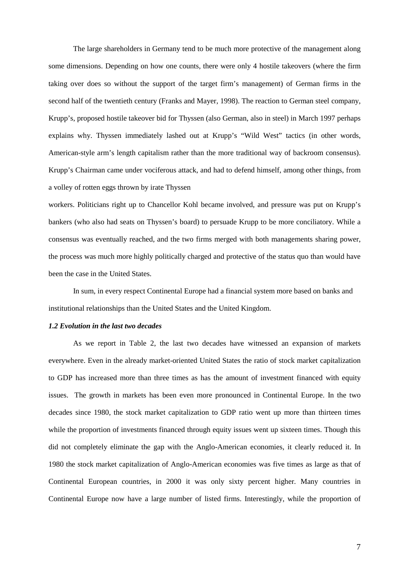The large shareholders in Germany tend to be much more protective of the management along some dimensions. Depending on how one counts, there were only 4 hostile takeovers (where the firm taking over does so without the support of the target firm's management) of German firms in the second half of the twentieth century (Franks and Mayer, 1998). The reaction to German steel company, Krupp's, proposed hostile takeover bid for Thyssen (also German, also in steel) in March 1997 perhaps explains why. Thyssen immediately lashed out at Krupp's "Wild West" tactics (in other words, American-style arm's length capitalism rather than the more traditional way of backroom consensus). Krupp's Chairman came under vociferous attack, and had to defend himself, among other things, from a volley of rotten eggs thrown by irate Thyssen

workers. Politicians right up to Chancellor Kohl became involved, and pressure was put on Krupp's bankers (who also had seats on Thyssen's board) to persuade Krupp to be more conciliatory. While a consensus was eventually reached, and the two firms merged with both managements sharing power, the process was much more highly politically charged and protective of the status quo than would have been the case in the United States.

In sum, in every respect Continental Europe had a financial system more based on banks and institutional relationships than the United States and the United Kingdom.

#### *1.2 Evolution in the last two decades*

As we report in Table 2, the last two decades have witnessed an expansion of markets everywhere. Even in the already market-oriented United States the ratio of stock market capitalization to GDP has increased more than three times as has the amount of investment financed with equity issues. The growth in markets has been even more pronounced in Continental Europe. In the two decades since 1980, the stock market capitalization to GDP ratio went up more than thirteen times while the proportion of investments financed through equity issues went up sixteen times. Though this did not completely eliminate the gap with the Anglo-American economies, it clearly reduced it. In 1980 the stock market capitalization of Anglo-American economies was five times as large as that of Continental European countries, in 2000 it was only sixty percent higher. Many countries in Continental Europe now have a large number of listed firms. Interestingly, while the proportion of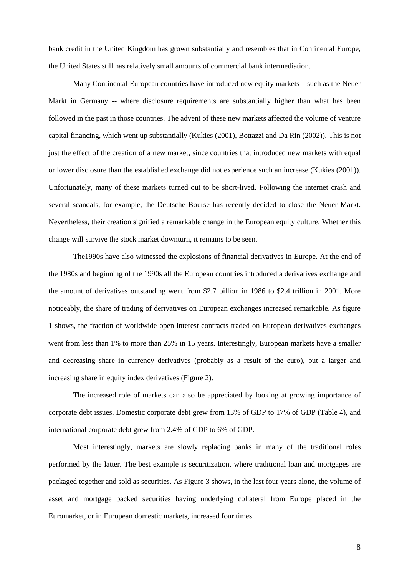bank credit in the United Kingdom has grown substantially and resembles that in Continental Europe, the United States still has relatively small amounts of commercial bank intermediation.

Many Continental European countries have introduced new equity markets – such as the Neuer Markt in Germany -- where disclosure requirements are substantially higher than what has been followed in the past in those countries. The advent of these new markets affected the volume of venture capital financing, which went up substantially (Kukies (2001), Bottazzi and Da Rin (2002)). This is not just the effect of the creation of a new market, since countries that introduced new markets with equal or lower disclosure than the established exchange did not experience such an increase (Kukies (2001)). Unfortunately, many of these markets turned out to be short-lived. Following the internet crash and several scandals, for example, the Deutsche Bourse has recently decided to close the Neuer Markt. Nevertheless, their creation signified a remarkable change in the European equity culture. Whether this change will survive the stock market downturn, it remains to be seen.

The1990s have also witnessed the explosions of financial derivatives in Europe. At the end of the 1980s and beginning of the 1990s all the European countries introduced a derivatives exchange and the amount of derivatives outstanding went from \$2.7 billion in 1986 to \$2.4 trillion in 2001. More noticeably, the share of trading of derivatives on European exchanges increased remarkable. As figure 1 shows, the fraction of worldwide open interest contracts traded on European derivatives exchanges went from less than 1% to more than 25% in 15 years. Interestingly, European markets have a smaller and decreasing share in currency derivatives (probably as a result of the euro), but a larger and increasing share in equity index derivatives (Figure 2).

The increased role of markets can also be appreciated by looking at growing importance of corporate debt issues. Domestic corporate debt grew from 13% of GDP to 17% of GDP (Table 4), and international corporate debt grew from 2.4% of GDP to 6% of GDP.

Most interestingly, markets are slowly replacing banks in many of the traditional roles performed by the latter. The best example is securitization, where traditional loan and mortgages are packaged together and sold as securities. As Figure 3 shows, in the last four years alone, the volume of asset and mortgage backed securities having underlying collateral from Europe placed in the Euromarket, or in European domestic markets, increased four times.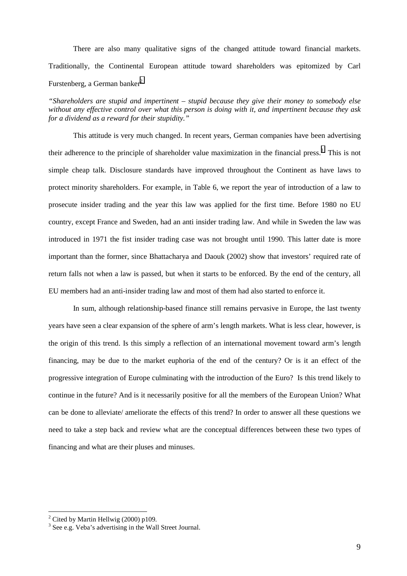There are also many qualitative signs of the changed attitude toward financial markets. Traditionally, the Continental European attitude toward shareholders was epitomized by Carl Furstenberg, a German banker<sup>2</sup>

*"Shareholders are stupid and impertinent – stupid because they give their money to somebody else without any effective control over what this person is doing with it, and impertinent because they ask for a dividend as a reward for their stupidity."*

This attitude is very much changed. In recent years, German companies have been advertising their adherence to the principle of shareholder value maximization in the financial press.<sup>3</sup> This is not simple cheap talk. Disclosure standards have improved throughout the Continent as have laws to protect minority shareholders. For example, in Table 6, we report the year of introduction of a law to prosecute insider trading and the year this law was applied for the first time. Before 1980 no EU country, except France and Sweden, had an anti insider trading law. And while in Sweden the law was introduced in 1971 the fist insider trading case was not brought until 1990. This latter date is more important than the former, since Bhattacharya and Daouk (2002) show that investors' required rate of return falls not when a law is passed, but when it starts to be enforced. By the end of the century, all EU members had an anti-insider trading law and most of them had also started to enforce it.

In sum, although relationship-based finance still remains pervasive in Europe, the last twenty years have seen a clear expansion of the sphere of arm's length markets. What is less clear, however, is the origin of this trend. Is this simply a reflection of an international movement toward arm's length financing, may be due to the market euphoria of the end of the century? Or is it an effect of the progressive integration of Europe culminating with the introduction of the Euro? Is this trend likely to continue in the future? And is it necessarily positive for all the members of the European Union? What can be done to alleviate/ ameliorate the effects of this trend? In order to answer all these questions we need to take a step back and review what are the conceptual differences between these two types of financing and what are their pluses and minuses.

 $\overline{a}$ 

 $2$  Cited by Martin Hellwig (2000) p109.

<sup>&</sup>lt;sup>3</sup> See e.g. Veba's advertising in the Wall Street Journal.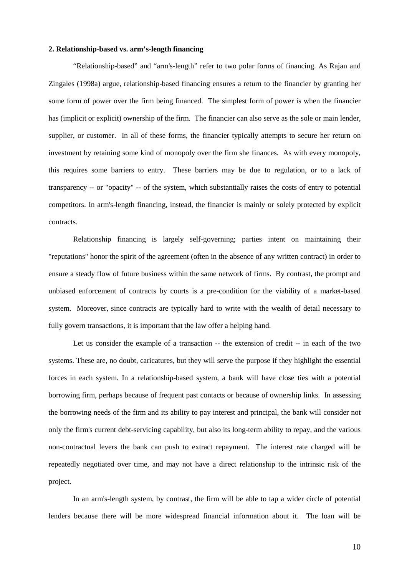#### **2. Relationship-based vs. arm's-length financing**

"Relationship-based" and "arm's-length" refer to two polar forms of financing. As Rajan and Zingales (1998a) argue, relationship-based financing ensures a return to the financier by granting her some form of power over the firm being financed. The simplest form of power is when the financier has (implicit or explicit) ownership of the firm. The financier can also serve as the sole or main lender, supplier, or customer. In all of these forms, the financier typically attempts to secure her return on investment by retaining some kind of monopoly over the firm she finances. As with every monopoly, this requires some barriers to entry. These barriers may be due to regulation, or to a lack of transparency -- or "opacity" -- of the system, which substantially raises the costs of entry to potential competitors. In arm's-length financing, instead, the financier is mainly or solely protected by explicit contracts.

Relationship financing is largely self-governing; parties intent on maintaining their "reputations" honor the spirit of the agreement (often in the absence of any written contract) in order to ensure a steady flow of future business within the same network of firms. By contrast, the prompt and unbiased enforcement of contracts by courts is a pre-condition for the viability of a market-based system. Moreover, since contracts are typically hard to write with the wealth of detail necessary to fully govern transactions, it is important that the law offer a helping hand.

Let us consider the example of a transaction -- the extension of credit -- in each of the two systems. These are, no doubt, caricatures, but they will serve the purpose if they highlight the essential forces in each system. In a relationship-based system, a bank will have close ties with a potential borrowing firm, perhaps because of frequent past contacts or because of ownership links. In assessing the borrowing needs of the firm and its ability to pay interest and principal, the bank will consider not only the firm's current debt-servicing capability, but also its long-term ability to repay, and the various non-contractual levers the bank can push to extract repayment. The interest rate charged will be repeatedly negotiated over time, and may not have a direct relationship to the intrinsic risk of the project.

In an arm's-length system, by contrast, the firm will be able to tap a wider circle of potential lenders because there will be more widespread financial information about it. The loan will be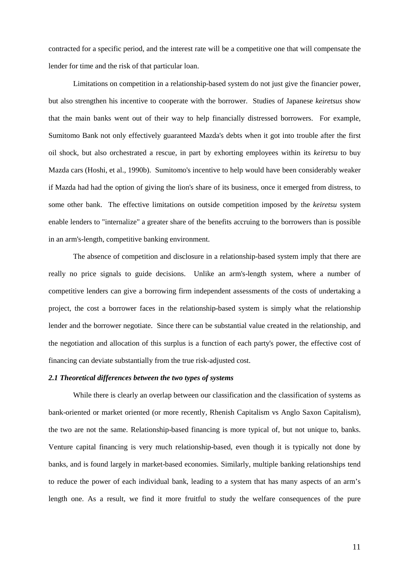contracted for a specific period, and the interest rate will be a competitive one that will compensate the lender for time and the risk of that particular loan.

Limitations on competition in a relationship-based system do not just give the financier power, but also strengthen his incentive to cooperate with the borrower. Studies of Japanese *keiretsus* show that the main banks went out of their way to help financially distressed borrowers. For example, Sumitomo Bank not only effectively guaranteed Mazda's debts when it got into trouble after the first oil shock, but also orchestrated a rescue, in part by exhorting employees within its *keiretsu* to buy Mazda cars (Hoshi, et al., 1990b). Sumitomo's incentive to help would have been considerably weaker if Mazda had had the option of giving the lion's share of its business, once it emerged from distress, to some other bank. The effective limitations on outside competition imposed by the *keiretsu* system enable lenders to "internalize" a greater share of the benefits accruing to the borrowers than is possible in an arm's-length, competitive banking environment.

The absence of competition and disclosure in a relationship-based system imply that there are really no price signals to guide decisions. Unlike an arm's-length system, where a number of competitive lenders can give a borrowing firm independent assessments of the costs of undertaking a project, the cost a borrower faces in the relationship-based system is simply what the relationship lender and the borrower negotiate. Since there can be substantial value created in the relationship, and the negotiation and allocation of this surplus is a function of each party's power, the effective cost of financing can deviate substantially from the true risk-adjusted cost.

#### *2.1 Theoretical differences between the two types of systems*

While there is clearly an overlap between our classification and the classification of systems as bank-oriented or market oriented (or more recently, Rhenish Capitalism vs Anglo Saxon Capitalism), the two are not the same. Relationship-based financing is more typical of, but not unique to, banks. Venture capital financing is very much relationship-based, even though it is typically not done by banks, and is found largely in market-based economies. Similarly, multiple banking relationships tend to reduce the power of each individual bank, leading to a system that has many aspects of an arm's length one. As a result, we find it more fruitful to study the welfare consequences of the pure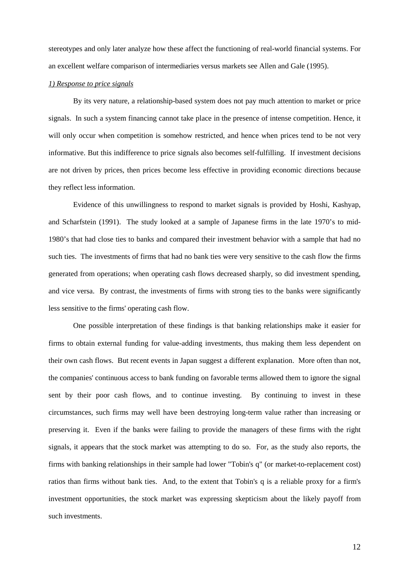stereotypes and only later analyze how these affect the functioning of real-world financial systems. For an excellent welfare comparison of intermediaries versus markets see Allen and Gale (1995).

#### *1) Response to price signals*

By its very nature, a relationship-based system does not pay much attention to market or price signals. In such a system financing cannot take place in the presence of intense competition. Hence, it will only occur when competition is somehow restricted, and hence when prices tend to be not very informative. But this indifference to price signals also becomes self-fulfilling. If investment decisions are not driven by prices, then prices become less effective in providing economic directions because they reflect less information.

Evidence of this unwillingness to respond to market signals is provided by Hoshi, Kashyap, and Scharfstein (1991). The study looked at a sample of Japanese firms in the late 1970's to mid-1980's that had close ties to banks and compared their investment behavior with a sample that had no such ties. The investments of firms that had no bank ties were very sensitive to the cash flow the firms generated from operations; when operating cash flows decreased sharply, so did investment spending, and vice versa. By contrast, the investments of firms with strong ties to the banks were significantly less sensitive to the firms' operating cash flow.

One possible interpretation of these findings is that banking relationships make it easier for firms to obtain external funding for value-adding investments, thus making them less dependent on their own cash flows. But recent events in Japan suggest a different explanation. More often than not, the companies' continuous access to bank funding on favorable terms allowed them to ignore the signal sent by their poor cash flows, and to continue investing. By continuing to invest in these circumstances, such firms may well have been destroying long-term value rather than increasing or preserving it. Even if the banks were failing to provide the managers of these firms with the right signals, it appears that the stock market was attempting to do so. For, as the study also reports, the firms with banking relationships in their sample had lower "Tobin's q" (or market-to-replacement cost) ratios than firms without bank ties. And, to the extent that Tobin's q is a reliable proxy for a firm's investment opportunities, the stock market was expressing skepticism about the likely payoff from such investments.

12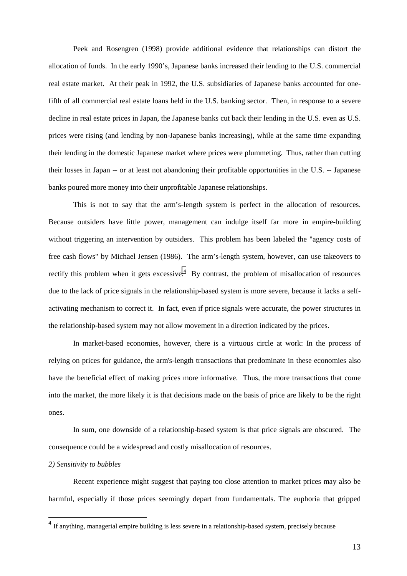Peek and Rosengren (1998) provide additional evidence that relationships can distort the allocation of funds. In the early 1990's, Japanese banks increased their lending to the U.S. commercial real estate market. At their peak in 1992, the U.S. subsidiaries of Japanese banks accounted for onefifth of all commercial real estate loans held in the U.S. banking sector. Then, in response to a severe decline in real estate prices in Japan, the Japanese banks cut back their lending in the U.S. even as U.S. prices were rising (and lending by non-Japanese banks increasing), while at the same time expanding their lending in the domestic Japanese market where prices were plummeting. Thus, rather than cutting their losses in Japan -- or at least not abandoning their profitable opportunities in the U.S. -- Japanese banks poured more money into their unprofitable Japanese relationships.

This is not to say that the arm's-length system is perfect in the allocation of resources. Because outsiders have little power, management can indulge itself far more in empire-building without triggering an intervention by outsiders. This problem has been labeled the "agency costs of free cash flows" by Michael Jensen (1986). The arm's-length system, however, can use takeovers to rectify this problem when it gets excessive.<sup>4</sup> By contrast, the problem of misallocation of resources due to the lack of price signals in the relationship-based system is more severe, because it lacks a selfactivating mechanism to correct it. In fact, even if price signals were accurate, the power structures in the relationship-based system may not allow movement in a direction indicated by the prices.

In market-based economies, however, there is a virtuous circle at work: In the process of relying on prices for guidance, the arm's-length transactions that predominate in these economies also have the beneficial effect of making prices more informative. Thus, the more transactions that come into the market, the more likely it is that decisions made on the basis of price are likely to be the right ones.

In sum, one downside of a relationship-based system is that price signals are obscured. The consequence could be a widespread and costly misallocation of resources.

#### *2) Sensitivity to bubbles*

 $\overline{a}$ 

Recent experience might suggest that paying too close attention to market prices may also be harmful, especially if those prices seemingly depart from fundamentals. The euphoria that gripped

 $<sup>4</sup>$  If anything, managerial empire building is less severe in a relationship-based system, precisely because</sup>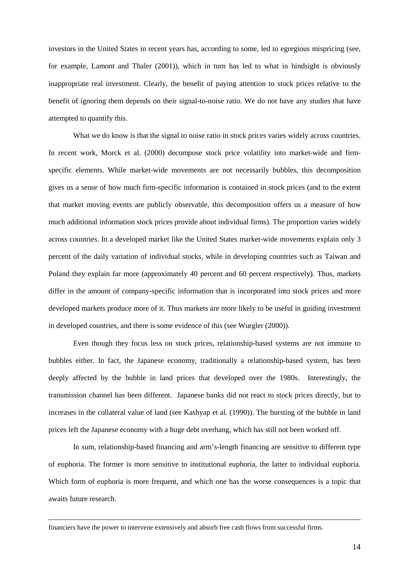investors in the United States in recent years has, according to some, led to egregious mispricing (see, for example, Lamont and Thaler (2001)), which in turn has led to what in hindsight is obviously inappropriate real investment. Clearly, the benefit of paying attention to stock prices relative to the benefit of ignoring them depends on their signal-to-noise ratio. We do not have any studies that have attempted to quantify this.

What we do know is that the signal to noise ratio in stock prices varies widely across countries. In recent work, Morck et al. (2000) decompose stock price volatility into market-wide and firmspecific elements. While market-wide movements are not necessarily bubbles, this decomposition gives us a sense of how much firm-specific information is contained in stock prices (and to the extent that market moving events are publicly observable, this decomposition offers us a measure of how much additional information stock prices provide about individual firms). The proportion varies widely across countries. In a developed market like the United States market-wide movements explain only 3 percent of the daily variation of individual stocks, while in developing countries such as Taiwan and Poland they explain far more (approximately 40 percent and 60 percent respectively). Thus, markets differ in the amount of company-specific information that is incorporated into stock prices and more developed markets produce more of it. Thus markets are more likely to be useful in guiding investment in developed countries, and there is some evidence of this (see Wurgler (2000)).

Even though they focus less on stock prices, relationship-based systems are not immune to bubbles either. In fact, the Japanese economy, traditionally a relationship-based system, has been deeply affected by the bubble in land prices that developed over the 1980s. Interestingly, the transmission channel has been different. Japanese banks did not react to stock prices directly, but to increases in the collateral value of land (see Kashyap et al. (1990)). The bursting of the bubble in land prices left the Japanese economy with a huge debt overhang, which has still not been worked off.

In sum, relationship-based financing and arm's-length financing are sensitive to different type of euphoria. The former is more sensitive to institutional euphoria, the latter to individual euphoria. Which form of euphoria is more frequent, and which one has the worse consequences is a topic that awaits future research.

financiers have the power to intervene extensively and absorb free cash flows from successful firms.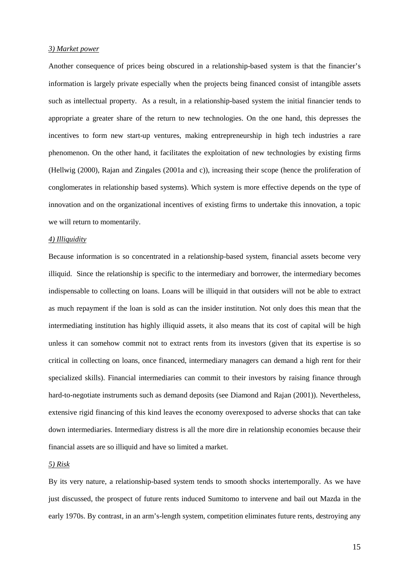#### *3) Market power*

Another consequence of prices being obscured in a relationship-based system is that the financier's information is largely private especially when the projects being financed consist of intangible assets such as intellectual property. As a result, in a relationship-based system the initial financier tends to appropriate a greater share of the return to new technologies. On the one hand, this depresses the incentives to form new start-up ventures, making entrepreneurship in high tech industries a rare phenomenon. On the other hand, it facilitates the exploitation of new technologies by existing firms (Hellwig (2000), Rajan and Zingales (2001a and c)), increasing their scope (hence the proliferation of conglomerates in relationship based systems). Which system is more effective depends on the type of innovation and on the organizational incentives of existing firms to undertake this innovation, a topic we will return to momentarily.

#### *4) Illiquidity*

Because information is so concentrated in a relationship-based system, financial assets become very illiquid. Since the relationship is specific to the intermediary and borrower, the intermediary becomes indispensable to collecting on loans. Loans will be illiquid in that outsiders will not be able to extract as much repayment if the loan is sold as can the insider institution. Not only does this mean that the intermediating institution has highly illiquid assets, it also means that its cost of capital will be high unless it can somehow commit not to extract rents from its investors (given that its expertise is so critical in collecting on loans, once financed, intermediary managers can demand a high rent for their specialized skills). Financial intermediaries can commit to their investors by raising finance through hard-to-negotiate instruments such as demand deposits (see Diamond and Rajan (2001)). Nevertheless, extensive rigid financing of this kind leaves the economy overexposed to adverse shocks that can take down intermediaries. Intermediary distress is all the more dire in relationship economies because their financial assets are so illiquid and have so limited a market.

#### *5) Risk*

By its very nature, a relationship-based system tends to smooth shocks intertemporally. As we have just discussed, the prospect of future rents induced Sumitomo to intervene and bail out Mazda in the early 1970s. By contrast, in an arm's-length system, competition eliminates future rents, destroying any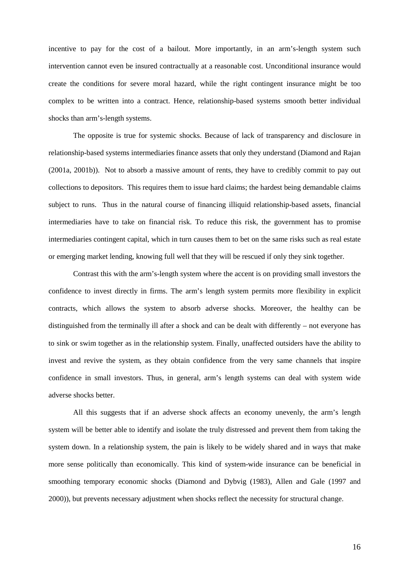incentive to pay for the cost of a bailout. More importantly, in an arm's-length system such intervention cannot even be insured contractually at a reasonable cost. Unconditional insurance would create the conditions for severe moral hazard, while the right contingent insurance might be too complex to be written into a contract. Hence, relationship-based systems smooth better individual shocks than arm's-length systems.

The opposite is true for systemic shocks. Because of lack of transparency and disclosure in relationship-based systems intermediaries finance assets that only they understand (Diamond and Rajan (2001a, 2001b)). Not to absorb a massive amount of rents, they have to credibly commit to pay out collections to depositors. This requires them to issue hard claims; the hardest being demandable claims subject to runs. Thus in the natural course of financing illiquid relationship-based assets, financial intermediaries have to take on financial risk. To reduce this risk, the government has to promise intermediaries contingent capital, which in turn causes them to bet on the same risks such as real estate or emerging market lending, knowing full well that they will be rescued if only they sink together.

Contrast this with the arm's-length system where the accent is on providing small investors the confidence to invest directly in firms. The arm's length system permits more flexibility in explicit contracts, which allows the system to absorb adverse shocks. Moreover, the healthy can be distinguished from the terminally ill after a shock and can be dealt with differently – not everyone has to sink or swim together as in the relationship system. Finally, unaffected outsiders have the ability to invest and revive the system, as they obtain confidence from the very same channels that inspire confidence in small investors. Thus, in general, arm's length systems can deal with system wide adverse shocks better.

All this suggests that if an adverse shock affects an economy unevenly, the arm's length system will be better able to identify and isolate the truly distressed and prevent them from taking the system down. In a relationship system, the pain is likely to be widely shared and in ways that make more sense politically than economically. This kind of system-wide insurance can be beneficial in smoothing temporary economic shocks (Diamond and Dybvig (1983), Allen and Gale (1997 and 2000)), but prevents necessary adjustment when shocks reflect the necessity for structural change.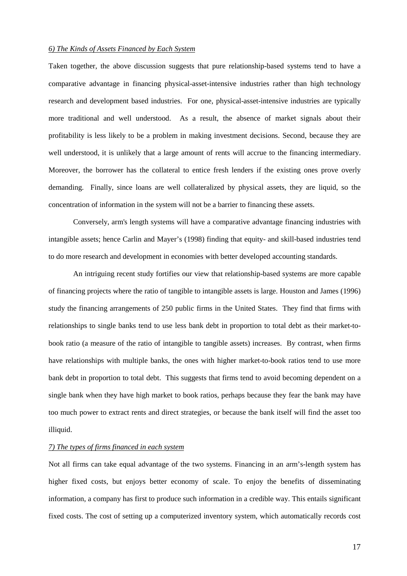#### *6) The Kinds of Assets Financed by Each System*

Taken together, the above discussion suggests that pure relationship-based systems tend to have a comparative advantage in financing physical-asset-intensive industries rather than high technology research and development based industries. For one, physical-asset-intensive industries are typically more traditional and well understood. As a result, the absence of market signals about their profitability is less likely to be a problem in making investment decisions. Second, because they are well understood, it is unlikely that a large amount of rents will accrue to the financing intermediary. Moreover, the borrower has the collateral to entice fresh lenders if the existing ones prove overly demanding. Finally, since loans are well collateralized by physical assets, they are liquid, so the concentration of information in the system will not be a barrier to financing these assets.

Conversely, arm's length systems will have a comparative advantage financing industries with intangible assets; hence Carlin and Mayer's (1998) finding that equity- and skill-based industries tend to do more research and development in economies with better developed accounting standards.

An intriguing recent study fortifies our view that relationship-based systems are more capable of financing projects where the ratio of tangible to intangible assets is large. Houston and James (1996) study the financing arrangements of 250 public firms in the United States. They find that firms with relationships to single banks tend to use less bank debt in proportion to total debt as their market-tobook ratio (a measure of the ratio of intangible to tangible assets) increases. By contrast, when firms have relationships with multiple banks, the ones with higher market-to-book ratios tend to use more bank debt in proportion to total debt. This suggests that firms tend to avoid becoming dependent on a single bank when they have high market to book ratios, perhaps because they fear the bank may have too much power to extract rents and direct strategies, or because the bank itself will find the asset too illiquid.

#### *7) The types of firms financed in each system*

Not all firms can take equal advantage of the two systems. Financing in an arm's-length system has higher fixed costs, but enjoys better economy of scale. To enjoy the benefits of disseminating information, a company has first to produce such information in a credible way. This entails significant fixed costs. The cost of setting up a computerized inventory system, which automatically records cost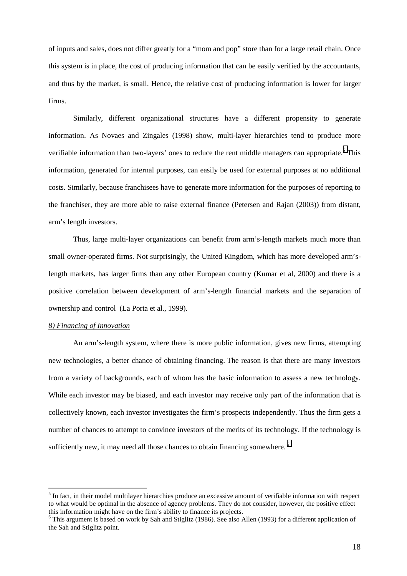of inputs and sales, does not differ greatly for a "mom and pop" store than for a large retail chain. Once this system is in place, the cost of producing information that can be easily verified by the accountants, and thus by the market, is small. Hence, the relative cost of producing information is lower for larger firms.

Similarly, different organizational structures have a different propensity to generate information. As Novaes and Zingales (1998) show, multi-layer hierarchies tend to produce more verifiable information than two-layers' ones to reduce the rent middle managers can appropriate.<sup>5</sup> This information, generated for internal purposes, can easily be used for external purposes at no additional costs. Similarly, because franchisees have to generate more information for the purposes of reporting to the franchiser, they are more able to raise external finance (Petersen and Rajan (2003)) from distant, arm's length investors.

Thus, large multi-layer organizations can benefit from arm's-length markets much more than small owner-operated firms. Not surprisingly, the United Kingdom, which has more developed arm'slength markets, has larger firms than any other European country (Kumar et al, 2000) and there is a positive correlation between development of arm's-length financial markets and the separation of ownership and control (La Porta et al., 1999).

#### *8) Financing of Innovation*

 $\overline{a}$ 

An arm's-length system, where there is more public information, gives new firms, attempting new technologies, a better chance of obtaining financing. The reason is that there are many investors from a variety of backgrounds, each of whom has the basic information to assess a new technology. While each investor may be biased, and each investor may receive only part of the information that is collectively known, each investor investigates the firm's prospects independently. Thus the firm gets a number of chances to attempt to convince investors of the merits of its technology. If the technology is sufficiently new, it may need all those chances to obtain financing somewhere.<sup>6</sup>

 $<sup>5</sup>$  In fact, in their model multilayer hierarchies produce an excessive amount of verifiable information with respect</sup> to what would be optimal in the absence of agency problems. They do not consider, however, the positive effect this information might have on the firm's ability to finance its projects.

<sup>&</sup>lt;sup>6</sup> This argument is based on work by Sah and Stiglitz (1986). See also Allen (1993) for a different application of the Sah and Stiglitz point.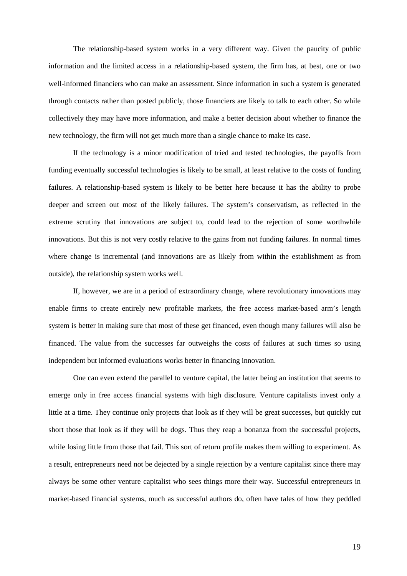The relationship-based system works in a very different way. Given the paucity of public information and the limited access in a relationship-based system, the firm has, at best, one or two well-informed financiers who can make an assessment. Since information in such a system is generated through contacts rather than posted publicly, those financiers are likely to talk to each other. So while collectively they may have more information, and make a better decision about whether to finance the new technology, the firm will not get much more than a single chance to make its case.

If the technology is a minor modification of tried and tested technologies, the payoffs from funding eventually successful technologies is likely to be small, at least relative to the costs of funding failures. A relationship-based system is likely to be better here because it has the ability to probe deeper and screen out most of the likely failures. The system's conservatism, as reflected in the extreme scrutiny that innovations are subject to, could lead to the rejection of some worthwhile innovations. But this is not very costly relative to the gains from not funding failures. In normal times where change is incremental (and innovations are as likely from within the establishment as from outside), the relationship system works well.

If, however, we are in a period of extraordinary change, where revolutionary innovations may enable firms to create entirely new profitable markets, the free access market-based arm's length system is better in making sure that most of these get financed, even though many failures will also be financed. The value from the successes far outweighs the costs of failures at such times so using independent but informed evaluations works better in financing innovation.

One can even extend the parallel to venture capital, the latter being an institution that seems to emerge only in free access financial systems with high disclosure. Venture capitalists invest only a little at a time. They continue only projects that look as if they will be great successes, but quickly cut short those that look as if they will be dogs. Thus they reap a bonanza from the successful projects, while losing little from those that fail. This sort of return profile makes them willing to experiment. As a result, entrepreneurs need not be dejected by a single rejection by a venture capitalist since there may always be some other venture capitalist who sees things more their way. Successful entrepreneurs in market-based financial systems, much as successful authors do, often have tales of how they peddled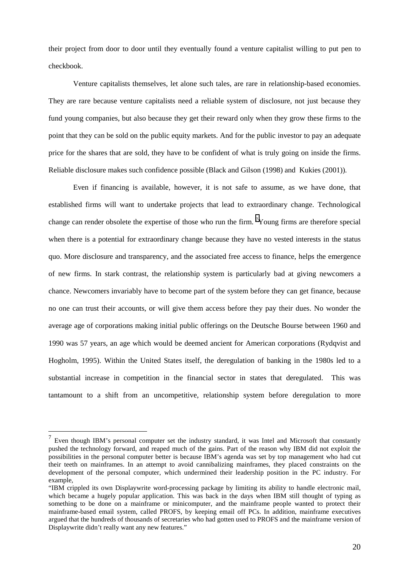their project from door to door until they eventually found a venture capitalist willing to put pen to checkbook.

Venture capitalists themselves, let alone such tales, are rare in relationship-based economies. They are rare because venture capitalists need a reliable system of disclosure, not just because they fund young companies, but also because they get their reward only when they grow these firms to the point that they can be sold on the public equity markets. And for the public investor to pay an adequate price for the shares that are sold, they have to be confident of what is truly going on inside the firms. Reliable disclosure makes such confidence possible (Black and Gilson (1998) and Kukies (2001)).

Even if financing is available, however, it is not safe to assume, as we have done, that established firms will want to undertake projects that lead to extraordinary change. Technological change can render obsolete the expertise of those who run the firm.  $\gamma$ Young firms are therefore special when there is a potential for extraordinary change because they have no vested interests in the status quo. More disclosure and transparency, and the associated free access to finance, helps the emergence of new firms. In stark contrast, the relationship system is particularly bad at giving newcomers a chance. Newcomers invariably have to become part of the system before they can get finance, because no one can trust their accounts, or will give them access before they pay their dues. No wonder the average age of corporations making initial public offerings on the Deutsche Bourse between 1960 and 1990 was 57 years, an age which would be deemed ancient for American corporations (Rydqvist and Hogholm, 1995). Within the United States itself, the deregulation of banking in the 1980s led to a substantial increase in competition in the financial sector in states that deregulated. This was tantamount to a shift from an uncompetitive, relationship system before deregulation to more

 $\overline{a}$ 

 $<sup>7</sup>$  Even though IBM's personal computer set the industry standard, it was Intel and Microsoft that constantly</sup> pushed the technology forward, and reaped much of the gains. Part of the reason why IBM did not exploit the possibilities in the personal computer better is because IBM's agenda was set by top management who had cut their teeth on mainframes. In an attempt to avoid cannibalizing mainframes, they placed constraints on the development of the personal computer, which undermined their leadership position in the PC industry. For example,

<sup>&</sup>quot;IBM crippled its own Displaywrite word-processing package by limiting its ability to handle electronic mail, which became a hugely popular application. This was back in the days when IBM still thought of typing as something to be done on a mainframe or minicomputer, and the mainframe people wanted to protect their mainframe-based email system, called PROFS, by keeping email off PCs. In addition, mainframe executives argued that the hundreds of thousands of secretaries who had gotten used to PROFS and the mainframe version of Displaywrite didn't really want any new features."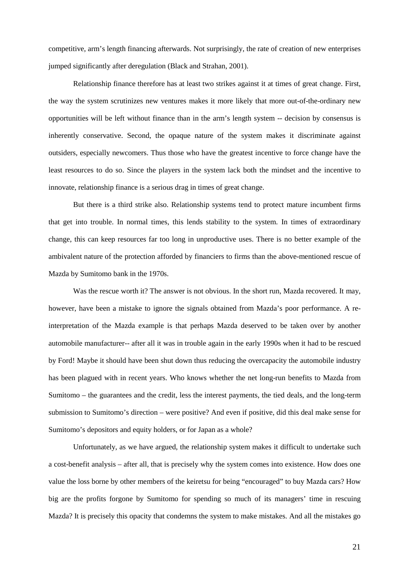competitive, arm's length financing afterwards. Not surprisingly, the rate of creation of new enterprises jumped significantly after deregulation (Black and Strahan, 2001).

Relationship finance therefore has at least two strikes against it at times of great change. First, the way the system scrutinizes new ventures makes it more likely that more out-of-the-ordinary new opportunities will be left without finance than in the arm's length system -- decision by consensus is inherently conservative. Second, the opaque nature of the system makes it discriminate against outsiders, especially newcomers. Thus those who have the greatest incentive to force change have the least resources to do so. Since the players in the system lack both the mindset and the incentive to innovate, relationship finance is a serious drag in times of great change.

But there is a third strike also. Relationship systems tend to protect mature incumbent firms that get into trouble. In normal times, this lends stability to the system. In times of extraordinary change, this can keep resources far too long in unproductive uses. There is no better example of the ambivalent nature of the protection afforded by financiers to firms than the above-mentioned rescue of Mazda by Sumitomo bank in the 1970s.

Was the rescue worth it? The answer is not obvious. In the short run, Mazda recovered. It may, however, have been a mistake to ignore the signals obtained from Mazda's poor performance. A reinterpretation of the Mazda example is that perhaps Mazda deserved to be taken over by another automobile manufacturer-- after all it was in trouble again in the early 1990s when it had to be rescued by Ford! Maybe it should have been shut down thus reducing the overcapacity the automobile industry has been plagued with in recent years. Who knows whether the net long-run benefits to Mazda from Sumitomo – the guarantees and the credit, less the interest payments, the tied deals, and the long-term submission to Sumitomo's direction – were positive? And even if positive, did this deal make sense for Sumitomo's depositors and equity holders, or for Japan as a whole?

Unfortunately, as we have argued, the relationship system makes it difficult to undertake such a cost-benefit analysis – after all, that is precisely why the system comes into existence. How does one value the loss borne by other members of the keiretsu for being "encouraged" to buy Mazda cars? How big are the profits forgone by Sumitomo for spending so much of its managers' time in rescuing Mazda? It is precisely this opacity that condemns the system to make mistakes. And all the mistakes go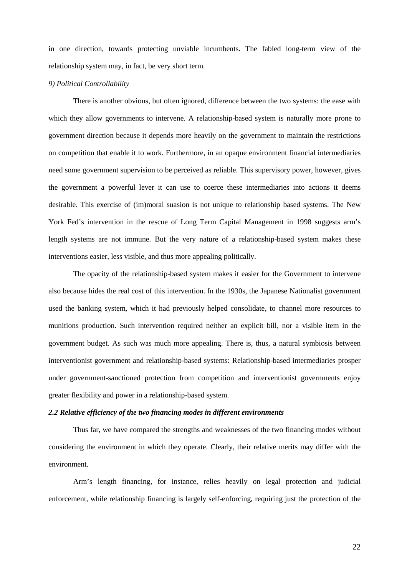in one direction, towards protecting unviable incumbents. The fabled long-term view of the relationship system may, in fact, be very short term.

#### *9) Political Controllability*

There is another obvious, but often ignored, difference between the two systems: the ease with which they allow governments to intervene. A relationship-based system is naturally more prone to government direction because it depends more heavily on the government to maintain the restrictions on competition that enable it to work. Furthermore, in an opaque environment financial intermediaries need some government supervision to be perceived as reliable. This supervisory power, however, gives the government a powerful lever it can use to coerce these intermediaries into actions it deems desirable. This exercise of (im)moral suasion is not unique to relationship based systems. The New York Fed's intervention in the rescue of Long Term Capital Management in 1998 suggests arm's length systems are not immune. But the very nature of a relationship-based system makes these interventions easier, less visible, and thus more appealing politically.

The opacity of the relationship-based system makes it easier for the Government to intervene also because hides the real cost of this intervention. In the 1930s, the Japanese Nationalist government used the banking system, which it had previously helped consolidate, to channel more resources to munitions production. Such intervention required neither an explicit bill, nor a visible item in the government budget. As such was much more appealing. There is, thus, a natural symbiosis between interventionist government and relationship-based systems: Relationship-based intermediaries prosper under government-sanctioned protection from competition and interventionist governments enjoy greater flexibility and power in a relationship-based system.

#### *2.2 Relative efficiency of the two financing modes in different environments*

Thus far, we have compared the strengths and weaknesses of the two financing modes without considering the environment in which they operate. Clearly, their relative merits may differ with the environment.

Arm's length financing, for instance, relies heavily on legal protection and judicial enforcement, while relationship financing is largely self-enforcing, requiring just the protection of the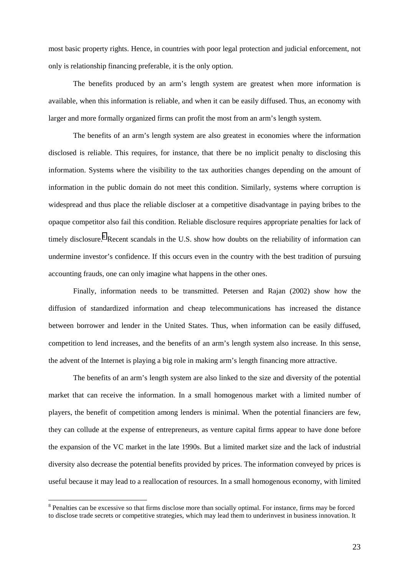most basic property rights. Hence, in countries with poor legal protection and judicial enforcement, not only is relationship financing preferable, it is the only option.

The benefits produced by an arm's length system are greatest when more information is available, when this information is reliable, and when it can be easily diffused. Thus, an economy with larger and more formally organized firms can profit the most from an arm's length system.

The benefits of an arm's length system are also greatest in economies where the information disclosed is reliable. This requires, for instance, that there be no implicit penalty to disclosing this information. Systems where the visibility to the tax authorities changes depending on the amount of information in the public domain do not meet this condition. Similarly, systems where corruption is widespread and thus place the reliable discloser at a competitive disadvantage in paying bribes to the opaque competitor also fail this condition. Reliable disclosure requires appropriate penalties for lack of timely disclosure.<sup>8</sup> Recent scandals in the U.S. show how doubts on the reliability of information can undermine investor's confidence. If this occurs even in the country with the best tradition of pursuing accounting frauds, one can only imagine what happens in the other ones.

Finally, information needs to be transmitted. Petersen and Rajan (2002) show how the diffusion of standardized information and cheap telecommunications has increased the distance between borrower and lender in the United States. Thus, when information can be easily diffused, competition to lend increases, and the benefits of an arm's length system also increase. In this sense, the advent of the Internet is playing a big role in making arm's length financing more attractive.

The benefits of an arm's length system are also linked to the size and diversity of the potential market that can receive the information. In a small homogenous market with a limited number of players, the benefit of competition among lenders is minimal. When the potential financiers are few, they can collude at the expense of entrepreneurs, as venture capital firms appear to have done before the expansion of the VC market in the late 1990s. But a limited market size and the lack of industrial diversity also decrease the potential benefits provided by prices. The information conveyed by prices is useful because it may lead to a reallocation of resources. In a small homogenous economy, with limited

 $\overline{a}$ 

<sup>&</sup>lt;sup>8</sup> Penalties can be excessive so that firms disclose more than socially optimal. For instance, firms may be forced to disclose trade secrets or competitive strategies, which may lead them to underinvest in business innovation. It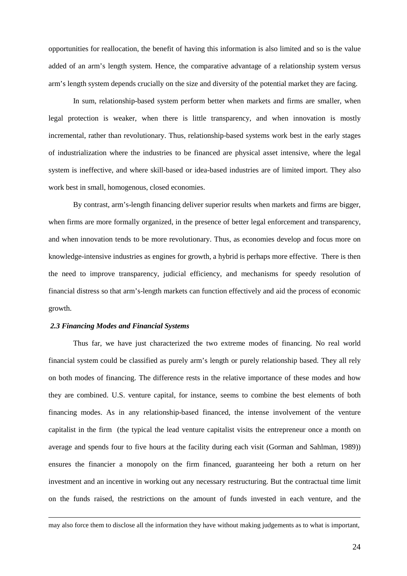opportunities for reallocation, the benefit of having this information is also limited and so is the value added of an arm's length system. Hence, the comparative advantage of a relationship system versus arm's length system depends crucially on the size and diversity of the potential market they are facing.

In sum, relationship-based system perform better when markets and firms are smaller, when legal protection is weaker, when there is little transparency, and when innovation is mostly incremental, rather than revolutionary. Thus, relationship-based systems work best in the early stages of industrialization where the industries to be financed are physical asset intensive, where the legal system is ineffective, and where skill-based or idea-based industries are of limited import. They also work best in small, homogenous, closed economies.

By contrast, arm's-length financing deliver superior results when markets and firms are bigger, when firms are more formally organized, in the presence of better legal enforcement and transparency, and when innovation tends to be more revolutionary. Thus, as economies develop and focus more on knowledge-intensive industries as engines for growth, a hybrid is perhaps more effective. There is then the need to improve transparency, judicial efficiency, and mechanisms for speedy resolution of financial distress so that arm's-length markets can function effectively and aid the process of economic growth.

#### *2.3 Financing Modes and Financial Systems*

Thus far, we have just characterized the two extreme modes of financing. No real world financial system could be classified as purely arm's length or purely relationship based. They all rely on both modes of financing. The difference rests in the relative importance of these modes and how they are combined. U.S. venture capital, for instance, seems to combine the best elements of both financing modes. As in any relationship-based financed, the intense involvement of the venture capitalist in the firm (the typical the lead venture capitalist visits the entrepreneur once a month on average and spends four to five hours at the facility during each visit (Gorman and Sahlman, 1989)) ensures the financier a monopoly on the firm financed, guaranteeing her both a return on her investment and an incentive in working out any necessary restructuring. But the contractual time limit on the funds raised, the restrictions on the amount of funds invested in each venture, and the

may also force them to disclose all the information they have without making judgements as to what is important,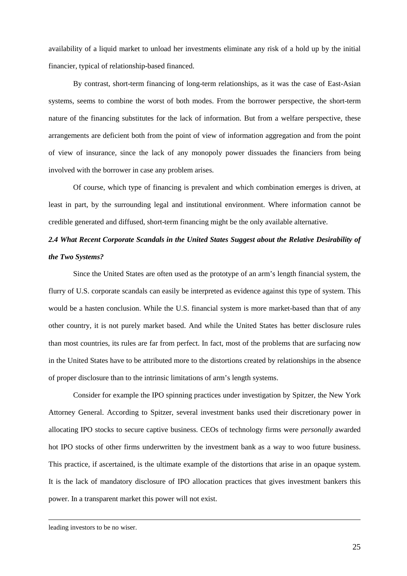availability of a liquid market to unload her investments eliminate any risk of a hold up by the initial financier, typical of relationship-based financed.

By contrast, short-term financing of long-term relationships, as it was the case of East-Asian systems, seems to combine the worst of both modes. From the borrower perspective, the short-term nature of the financing substitutes for the lack of information. But from a welfare perspective, these arrangements are deficient both from the point of view of information aggregation and from the point of view of insurance, since the lack of any monopoly power dissuades the financiers from being involved with the borrower in case any problem arises.

Of course, which type of financing is prevalent and which combination emerges is driven, at least in part, by the surrounding legal and institutional environment. Where information cannot be credible generated and diffused, short-term financing might be the only available alternative.

## *2.4 What Recent Corporate Scandals in the United States Suggest about the Relative Desirability of the Two Systems?*

Since the United States are often used as the prototype of an arm's length financial system, the flurry of U.S. corporate scandals can easily be interpreted as evidence against this type of system. This would be a hasten conclusion. While the U.S. financial system is more market-based than that of any other country, it is not purely market based. And while the United States has better disclosure rules than most countries, its rules are far from perfect. In fact, most of the problems that are surfacing now in the United States have to be attributed more to the distortions created by relationships in the absence of proper disclosure than to the intrinsic limitations of arm's length systems.

Consider for example the IPO spinning practices under investigation by Spitzer, the New York Attorney General. According to Spitzer, several investment banks used their discretionary power in allocating IPO stocks to secure captive business. CEOs of technology firms were *personally* awarded hot IPO stocks of other firms underwritten by the investment bank as a way to woo future business. This practice, if ascertained, is the ultimate example of the distortions that arise in an opaque system. It is the lack of mandatory disclosure of IPO allocation practices that gives investment bankers this power. In a transparent market this power will not exist.

leading investors to be no wiser.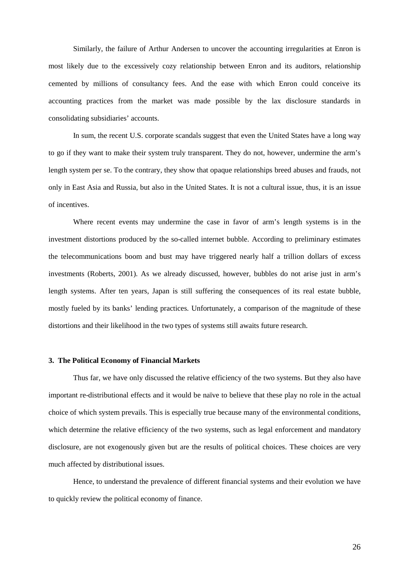Similarly, the failure of Arthur Andersen to uncover the accounting irregularities at Enron is most likely due to the excessively cozy relationship between Enron and its auditors, relationship cemented by millions of consultancy fees. And the ease with which Enron could conceive its accounting practices from the market was made possible by the lax disclosure standards in consolidating subsidiaries' accounts.

In sum, the recent U.S. corporate scandals suggest that even the United States have a long way to go if they want to make their system truly transparent. They do not, however, undermine the arm's length system per se. To the contrary, they show that opaque relationships breed abuses and frauds, not only in East Asia and Russia, but also in the United States. It is not a cultural issue, thus, it is an issue of incentives.

Where recent events may undermine the case in favor of arm's length systems is in the investment distortions produced by the so-called internet bubble. According to preliminary estimates the telecommunications boom and bust may have triggered nearly half a trillion dollars of excess investments (Roberts, 2001). As we already discussed, however, bubbles do not arise just in arm's length systems. After ten years, Japan is still suffering the consequences of its real estate bubble, mostly fueled by its banks' lending practices. Unfortunately, a comparison of the magnitude of these distortions and their likelihood in the two types of systems still awaits future research.

#### **3.****The Political Economy of Financial Markets**

Thus far, we have only discussed the relative efficiency of the two systems. But they also have important re-distributional effects and it would be naïve to believe that these play no role in the actual choice of which system prevails. This is especially true because many of the environmental conditions, which determine the relative efficiency of the two systems, such as legal enforcement and mandatory disclosure, are not exogenously given but are the results of political choices. These choices are very much affected by distributional issues.

Hence, to understand the prevalence of different financial systems and their evolution we have to quickly review the political economy of finance.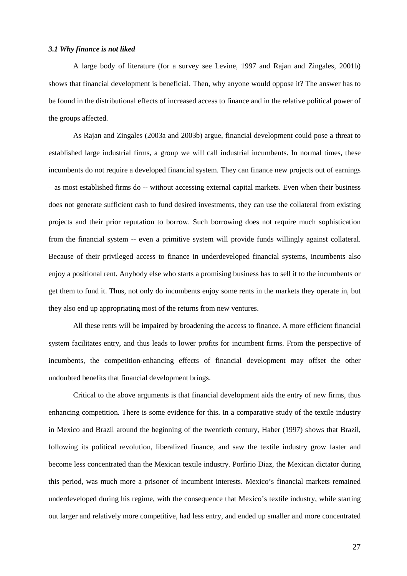#### *3.1 Why finance is not liked*

A large body of literature (for a survey see Levine, 1997 and Rajan and Zingales, 2001b) shows that financial development is beneficial. Then, why anyone would oppose it? The answer has to be found in the distributional effects of increased access to finance and in the relative political power of the groups affected.

As Rajan and Zingales (2003a and 2003b) argue, financial development could pose a threat to established large industrial firms, a group we will call industrial incumbents. In normal times, these incumbents do not require a developed financial system. They can finance new projects out of earnings – as most established firms do -- without accessing external capital markets. Even when their business does not generate sufficient cash to fund desired investments, they can use the collateral from existing projects and their prior reputation to borrow. Such borrowing does not require much sophistication from the financial system -- even a primitive system will provide funds willingly against collateral. Because of their privileged access to finance in underdeveloped financial systems, incumbents also enjoy a positional rent. Anybody else who starts a promising business has to sell it to the incumbents or get them to fund it. Thus, not only do incumbents enjoy some rents in the markets they operate in, but they also end up appropriating most of the returns from new ventures.

All these rents will be impaired by broadening the access to finance. A more efficient financial system facilitates entry, and thus leads to lower profits for incumbent firms. From the perspective of incumbents, the competition-enhancing effects of financial development may offset the other undoubted benefits that financial development brings.

Critical to the above arguments is that financial development aids the entry of new firms, thus enhancing competition. There is some evidence for this. In a comparative study of the textile industry in Mexico and Brazil around the beginning of the twentieth century, Haber (1997) shows that Brazil, following its political revolution, liberalized finance, and saw the textile industry grow faster and become less concentrated than the Mexican textile industry. Porfirio Diaz, the Mexican dictator during this period, was much more a prisoner of incumbent interests. Mexico's financial markets remained underdeveloped during his regime, with the consequence that Mexico's textile industry, while starting out larger and relatively more competitive, had less entry, and ended up smaller and more concentrated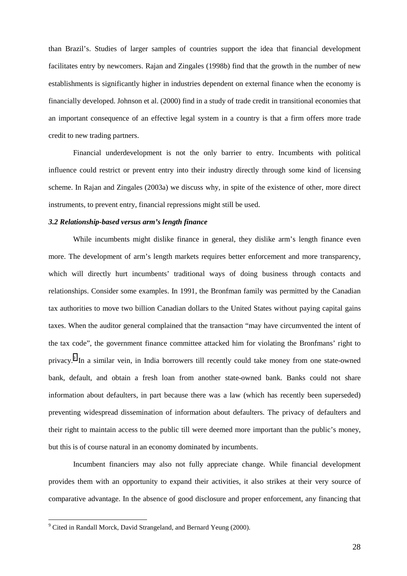than Brazil's. Studies of larger samples of countries support the idea that financial development facilitates entry by newcomers. Rajan and Zingales (1998b) find that the growth in the number of new establishments is significantly higher in industries dependent on external finance when the economy is financially developed. Johnson et al. (2000) find in a study of trade credit in transitional economies that an important consequence of an effective legal system in a country is that a firm offers more trade credit to new trading partners.

Financial underdevelopment is not the only barrier to entry. Incumbents with political influence could restrict or prevent entry into their industry directly through some kind of licensing scheme. In Rajan and Zingales (2003a) we discuss why, in spite of the existence of other, more direct instruments, to prevent entry, financial repressions might still be used.

#### *3.2 Relationship-based versus arm's length finance*

While incumbents might dislike finance in general, they dislike arm's length finance even more. The development of arm's length markets requires better enforcement and more transparency, which will directly hurt incumbents' traditional ways of doing business through contacts and relationships. Consider some examples. In 1991, the Bronfman family was permitted by the Canadian tax authorities to move two billion Canadian dollars to the United States without paying capital gains taxes. When the auditor general complained that the transaction "may have circumvented the intent of the tax code", the government finance committee attacked him for violating the Bronfmans' right to privacy.<sup>9</sup> In a similar vein, in India borrowers till recently could take money from one state-owned bank, default, and obtain a fresh loan from another state-owned bank. Banks could not share information about defaulters, in part because there was a law (which has recently been superseded) preventing widespread dissemination of information about defaulters. The privacy of defaulters and their right to maintain access to the public till were deemed more important than the public's money, but this is of course natural in an economy dominated by incumbents.

Incumbent financiers may also not fully appreciate change. While financial development provides them with an opportunity to expand their activities, it also strikes at their very source of comparative advantage. In the absence of good disclosure and proper enforcement, any financing that

 $\overline{a}$ 

<sup>&</sup>lt;sup>9</sup> Cited in Randall Morck, David Strangeland, and Bernard Yeung (2000).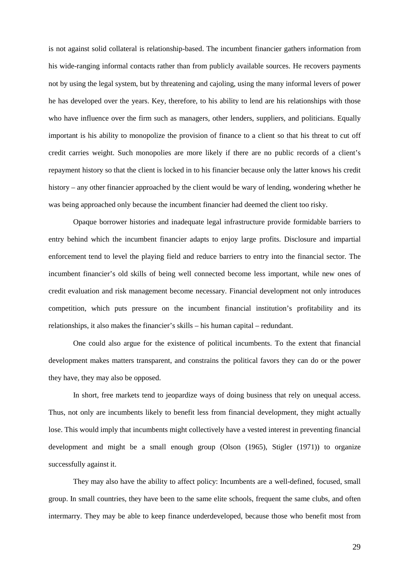is not against solid collateral is relationship-based. The incumbent financier gathers information from his wide-ranging informal contacts rather than from publicly available sources. He recovers payments not by using the legal system, but by threatening and cajoling, using the many informal levers of power he has developed over the years. Key, therefore, to his ability to lend are his relationships with those who have influence over the firm such as managers, other lenders, suppliers, and politicians. Equally important is his ability to monopolize the provision of finance to a client so that his threat to cut off credit carries weight. Such monopolies are more likely if there are no public records of a client's repayment history so that the client is locked in to his financier because only the latter knows his credit history – any other financier approached by the client would be wary of lending, wondering whether he was being approached only because the incumbent financier had deemed the client too risky.

Opaque borrower histories and inadequate legal infrastructure provide formidable barriers to entry behind which the incumbent financier adapts to enjoy large profits. Disclosure and impartial enforcement tend to level the playing field and reduce barriers to entry into the financial sector. The incumbent financier's old skills of being well connected become less important, while new ones of credit evaluation and risk management become necessary. Financial development not only introduces competition, which puts pressure on the incumbent financial institution's profitability and its relationships, it also makes the financier's skills – his human capital – redundant.

One could also argue for the existence of political incumbents. To the extent that financial development makes matters transparent, and constrains the political favors they can do or the power they have, they may also be opposed.

In short, free markets tend to jeopardize ways of doing business that rely on unequal access. Thus, not only are incumbents likely to benefit less from financial development, they might actually lose. This would imply that incumbents might collectively have a vested interest in preventing financial development and might be a small enough group (Olson (1965), Stigler (1971)) to organize successfully against it.

They may also have the ability to affect policy: Incumbents are a well-defined, focused, small group. In small countries, they have been to the same elite schools, frequent the same clubs, and often intermarry. They may be able to keep finance underdeveloped, because those who benefit most from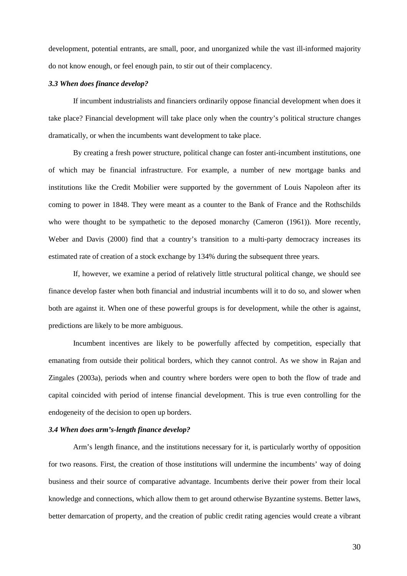development, potential entrants, are small, poor, and unorganized while the vast ill-informed majority do not know enough, or feel enough pain, to stir out of their complacency.

#### *3.3 When does finance develop?*

If incumbent industrialists and financiers ordinarily oppose financial development when does it take place? Financial development will take place only when the country's political structure changes dramatically, or when the incumbents want development to take place.

By creating a fresh power structure, political change can foster anti-incumbent institutions, one of which may be financial infrastructure. For example, a number of new mortgage banks and institutions like the Credit Mobilier were supported by the government of Louis Napoleon after its coming to power in 1848. They were meant as a counter to the Bank of France and the Rothschilds who were thought to be sympathetic to the deposed monarchy (Cameron (1961)). More recently, Weber and Davis (2000) find that a country's transition to a multi-party democracy increases its estimated rate of creation of a stock exchange by 134% during the subsequent three years.

If, however, we examine a period of relatively little structural political change, we should see finance develop faster when both financial and industrial incumbents will it to do so, and slower when both are against it. When one of these powerful groups is for development, while the other is against, predictions are likely to be more ambiguous.

Incumbent incentives are likely to be powerfully affected by competition, especially that emanating from outside their political borders, which they cannot control. As we show in Rajan and Zingales (2003a), periods when and country where borders were open to both the flow of trade and capital coincided with period of intense financial development. This is true even controlling for the endogeneity of the decision to open up borders.

#### *3.4 When does arm's-length finance develop?*

Arm's length finance, and the institutions necessary for it, is particularly worthy of opposition for two reasons. First, the creation of those institutions will undermine the incumbents' way of doing business and their source of comparative advantage. Incumbents derive their power from their local knowledge and connections, which allow them to get around otherwise Byzantine systems. Better laws, better demarcation of property, and the creation of public credit rating agencies would create a vibrant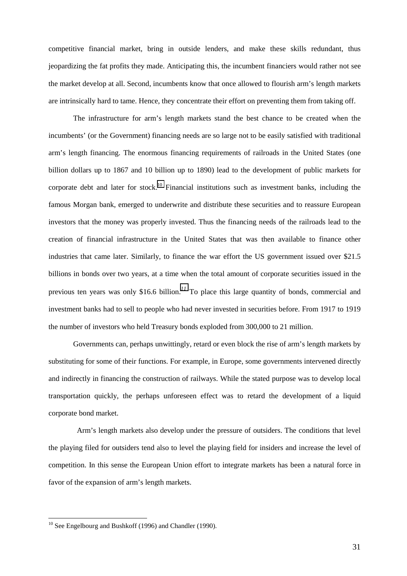competitive financial market, bring in outside lenders, and make these skills redundant, thus jeopardizing the fat profits they made. Anticipating this, the incumbent financiers would rather not see the market develop at all. Second, incumbents know that once allowed to flourish arm's length markets are intrinsically hard to tame. Hence, they concentrate their effort on preventing them from taking off.

The infrastructure for arm's length markets stand the best chance to be created when the incumbents' (or the Government) financing needs are so large not to be easily satisfied with traditional arm's length financing. The enormous financing requirements of railroads in the United States (one billion dollars up to 1867 and 10 billion up to 1890) lead to the development of public markets for corporate debt and later for stock.<sup>10</sup> Financial institutions such as investment banks, including the famous Morgan bank, emerged to underwrite and distribute these securities and to reassure European investors that the money was properly invested. Thus the financing needs of the railroads lead to the creation of financial infrastructure in the United States that was then available to finance other industries that came later. Similarly, to finance the war effort the US government issued over \$21.5 billions in bonds over two years, at a time when the total amount of corporate securities issued in the previous ten years was only \$16.6 billion.*<sup>11</sup>* To place this large quantity of bonds, commercial and investment banks had to sell to people who had never invested in securities before. From 1917 to 1919 the number of investors who held Treasury bonds exploded from 300,000 to 21 million.

Governments can, perhaps unwittingly, retard or even block the rise of arm's length markets by substituting for some of their functions. For example, in Europe, some governments intervened directly and indirectly in financing the construction of railways. While the stated purpose was to develop local transportation quickly, the perhaps unforeseen effect was to retard the development of a liquid corporate bond market.

 Arm's length markets also develop under the pressure of outsiders. The conditions that level the playing filed for outsiders tend also to level the playing field for insiders and increase the level of competition. In this sense the European Union effort to integrate markets has been a natural force in favor of the expansion of arm's length markets.

 $\overline{a}$ 

<sup>&</sup>lt;sup>10</sup> See Engelbourg and Bushkoff (1996) and Chandler (1990).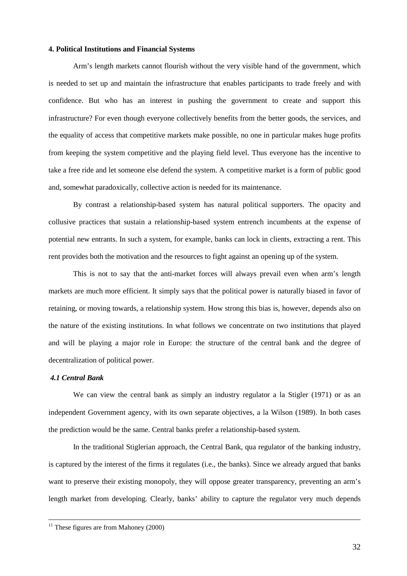#### **4. Political Institutions and Financial Systems**

Arm's length markets cannot flourish without the very visible hand of the government, which is needed to set up and maintain the infrastructure that enables participants to trade freely and with confidence. But who has an interest in pushing the government to create and support this infrastructure? For even though everyone collectively benefits from the better goods, the services, and the equality of access that competitive markets make possible, no one in particular makes huge profits from keeping the system competitive and the playing field level. Thus everyone has the incentive to take a free ride and let someone else defend the system. A competitive market is a form of public good and, somewhat paradoxically, collective action is needed for its maintenance.

By contrast a relationship-based system has natural political supporters. The opacity and collusive practices that sustain a relationship-based system entrench incumbents at the expense of potential new entrants. In such a system, for example, banks can lock in clients, extracting a rent. This rent provides both the motivation and the resources to fight against an opening up of the system.

This is not to say that the anti-market forces will always prevail even when arm's length markets are much more efficient. It simply says that the political power is naturally biased in favor of retaining, or moving towards, a relationship system. How strong this bias is, however, depends also on the nature of the existing institutions. In what follows we concentrate on two institutions that played and will be playing a major role in Europe: the structure of the central bank and the degree of decentralization of political power.

#### *4.1 Central Bank*

We can view the central bank as simply an industry regulator a la Stigler (1971) or as an independent Government agency, with its own separate objectives, a la Wilson (1989). In both cases the prediction would be the same. Central banks prefer a relationship-based system.

In the traditional Stiglerian approach, the Central Bank, qua regulator of the banking industry, is captured by the interest of the firms it regulates (i.e., the banks). Since we already argued that banks want to preserve their existing monopoly, they will oppose greater transparency, preventing an arm's length market from developing. Clearly, banks' ability to capture the regulator very much depends

 $11$  These figures are from Mahoney (2000)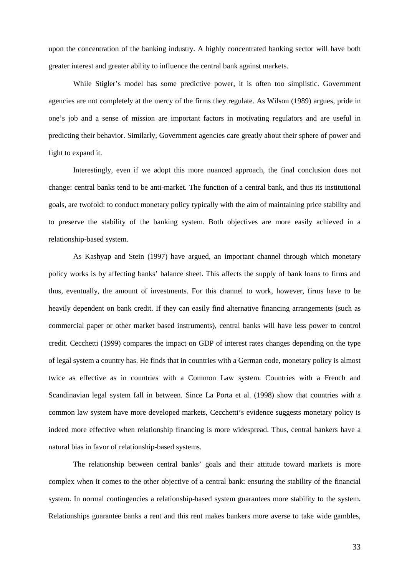upon the concentration of the banking industry. A highly concentrated banking sector will have both greater interest and greater ability to influence the central bank against markets.

While Stigler's model has some predictive power, it is often too simplistic. Government agencies are not completely at the mercy of the firms they regulate. As Wilson (1989) argues, pride in one's job and a sense of mission are important factors in motivating regulators and are useful in predicting their behavior. Similarly, Government agencies care greatly about their sphere of power and fight to expand it.

Interestingly, even if we adopt this more nuanced approach, the final conclusion does not change: central banks tend to be anti-market. The function of a central bank, and thus its institutional goals, are twofold: to conduct monetary policy typically with the aim of maintaining price stability and to preserve the stability of the banking system. Both objectives are more easily achieved in a relationship-based system.

As Kashyap and Stein (1997) have argued, an important channel through which monetary policy works is by affecting banks' balance sheet. This affects the supply of bank loans to firms and thus, eventually, the amount of investments. For this channel to work, however, firms have to be heavily dependent on bank credit. If they can easily find alternative financing arrangements (such as commercial paper or other market based instruments), central banks will have less power to control credit. Cecchetti (1999) compares the impact on GDP of interest rates changes depending on the type of legal system a country has. He finds that in countries with a German code, monetary policy is almost twice as effective as in countries with a Common Law system. Countries with a French and Scandinavian legal system fall in between. Since La Porta et al. (1998) show that countries with a common law system have more developed markets, Cecchetti's evidence suggests monetary policy is indeed more effective when relationship financing is more widespread. Thus, central bankers have a natural bias in favor of relationship-based systems.

The relationship between central banks' goals and their attitude toward markets is more complex when it comes to the other objective of a central bank: ensuring the stability of the financial system. In normal contingencies a relationship-based system guarantees more stability to the system. Relationships guarantee banks a rent and this rent makes bankers more averse to take wide gambles,

33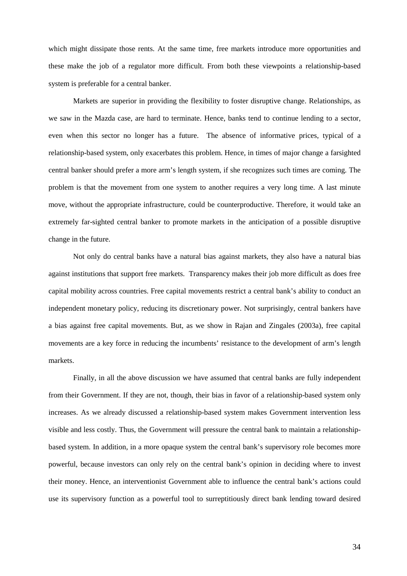which might dissipate those rents. At the same time, free markets introduce more opportunities and these make the job of a regulator more difficult. From both these viewpoints a relationship-based system is preferable for a central banker.

Markets are superior in providing the flexibility to foster disruptive change. Relationships, as we saw in the Mazda case, are hard to terminate. Hence, banks tend to continue lending to a sector, even when this sector no longer has a future. The absence of informative prices, typical of a relationship-based system, only exacerbates this problem. Hence, in times of major change a farsighted central banker should prefer a more arm's length system, if she recognizes such times are coming. The problem is that the movement from one system to another requires a very long time. A last minute move, without the appropriate infrastructure, could be counterproductive. Therefore, it would take an extremely far-sighted central banker to promote markets in the anticipation of a possible disruptive change in the future.

Not only do central banks have a natural bias against markets, they also have a natural bias against institutions that support free markets. Transparency makes their job more difficult as does free capital mobility across countries. Free capital movements restrict a central bank's ability to conduct an independent monetary policy, reducing its discretionary power. Not surprisingly, central bankers have a bias against free capital movements. But, as we show in Rajan and Zingales (2003a), free capital movements are a key force in reducing the incumbents' resistance to the development of arm's length markets.

Finally, in all the above discussion we have assumed that central banks are fully independent from their Government. If they are not, though, their bias in favor of a relationship-based system only increases. As we already discussed a relationship-based system makes Government intervention less visible and less costly. Thus, the Government will pressure the central bank to maintain a relationshipbased system. In addition, in a more opaque system the central bank's supervisory role becomes more powerful, because investors can only rely on the central bank's opinion in deciding where to invest their money. Hence, an interventionist Government able to influence the central bank's actions could use its supervisory function as a powerful tool to surreptitiously direct bank lending toward desired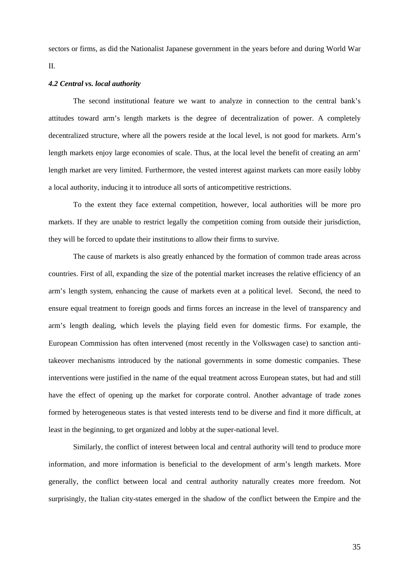sectors or firms, as did the Nationalist Japanese government in the years before and during World War

II.

#### *4.2 Central vs. local authority*

The second institutional feature we want to analyze in connection to the central bank's attitudes toward arm's length markets is the degree of decentralization of power. A completely decentralized structure, where all the powers reside at the local level, is not good for markets. Arm's length markets enjoy large economies of scale. Thus, at the local level the benefit of creating an arm' length market are very limited. Furthermore, the vested interest against markets can more easily lobby a local authority, inducing it to introduce all sorts of anticompetitive restrictions.

To the extent they face external competition, however, local authorities will be more pro markets. If they are unable to restrict legally the competition coming from outside their jurisdiction, they will be forced to update their institutions to allow their firms to survive.

The cause of markets is also greatly enhanced by the formation of common trade areas across countries. First of all, expanding the size of the potential market increases the relative efficiency of an arm's length system, enhancing the cause of markets even at a political level. Second, the need to ensure equal treatment to foreign goods and firms forces an increase in the level of transparency and arm's length dealing, which levels the playing field even for domestic firms. For example, the European Commission has often intervened (most recently in the Volkswagen case) to sanction antitakeover mechanisms introduced by the national governments in some domestic companies. These interventions were justified in the name of the equal treatment across European states, but had and still have the effect of opening up the market for corporate control. Another advantage of trade zones formed by heterogeneous states is that vested interests tend to be diverse and find it more difficult, at least in the beginning, to get organized and lobby at the super-national level.

Similarly, the conflict of interest between local and central authority will tend to produce more information, and more information is beneficial to the development of arm's length markets. More generally, the conflict between local and central authority naturally creates more freedom. Not surprisingly, the Italian city-states emerged in the shadow of the conflict between the Empire and the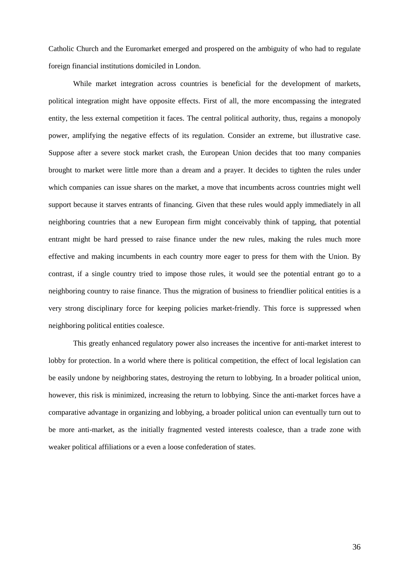Catholic Church and the Euromarket emerged and prospered on the ambiguity of who had to regulate foreign financial institutions domiciled in London.

While market integration across countries is beneficial for the development of markets, political integration might have opposite effects. First of all, the more encompassing the integrated entity, the less external competition it faces. The central political authority, thus, regains a monopoly power, amplifying the negative effects of its regulation. Consider an extreme, but illustrative case. Suppose after a severe stock market crash, the European Union decides that too many companies brought to market were little more than a dream and a prayer. It decides to tighten the rules under which companies can issue shares on the market, a move that incumbents across countries might well support because it starves entrants of financing. Given that these rules would apply immediately in all neighboring countries that a new European firm might conceivably think of tapping, that potential entrant might be hard pressed to raise finance under the new rules, making the rules much more effective and making incumbents in each country more eager to press for them with the Union. By contrast, if a single country tried to impose those rules, it would see the potential entrant go to a neighboring country to raise finance. Thus the migration of business to friendlier political entities is a very strong disciplinary force for keeping policies market-friendly. This force is suppressed when neighboring political entities coalesce.

This greatly enhanced regulatory power also increases the incentive for anti-market interest to lobby for protection. In a world where there is political competition, the effect of local legislation can be easily undone by neighboring states, destroying the return to lobbying. In a broader political union, however, this risk is minimized, increasing the return to lobbying. Since the anti-market forces have a comparative advantage in organizing and lobbying, a broader political union can eventually turn out to be more anti-market, as the initially fragmented vested interests coalesce, than a trade zone with weaker political affiliations or a even a loose confederation of states.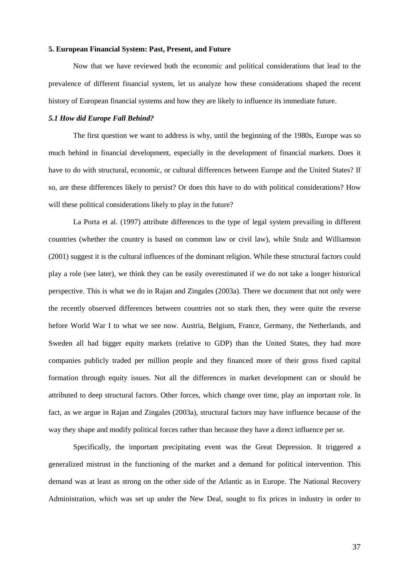#### **5. European Financial System: Past, Present, and Future**

Now that we have reviewed both the economic and political considerations that lead to the prevalence of different financial system, let us analyze how these considerations shaped the recent history of European financial systems and how they are likely to influence its immediate future.

#### *5.1 How did Europe Fall Behind?*

The first question we want to address is why, until the beginning of the 1980s, Europe was so much behind in financial development, especially in the development of financial markets. Does it have to do with structural, economic, or cultural differences between Europe and the United States? If so, are these differences likely to persist? Or does this have to do with political considerations? How will these political considerations likely to play in the future?

La Porta et al. (1997) attribute differences to the type of legal system prevailing in different countries (whether the country is based on common law or civil law), while Stulz and Williamson (2001) suggest it is the cultural influences of the dominant religion. While these structural factors could play a role (see later), we think they can be easily overestimated if we do not take a longer historical perspective. This is what we do in Rajan and Zingales (2003a). There we document that not only were the recently observed differences between countries not so stark then, they were quite the reverse before World War I to what we see now. Austria, Belgium, France, Germany, the Netherlands, and Sweden all had bigger equity markets (relative to GDP) than the United States, they had more companies publicly traded per million people and they financed more of their gross fixed capital formation through equity issues. Not all the differences in market development can or should be attributed to deep structural factors. Other forces, which change over time, play an important role. In fact, as we argue in Rajan and Zingales (2003a), structural factors may have influence because of the way they shape and modify political forces rather than because they have a direct influence per se.

Specifically, the important precipitating event was the Great Depression. It triggered a generalized mistrust in the functioning of the market and a demand for political intervention. This demand was at least as strong on the other side of the Atlantic as in Europe. The National Recovery Administration, which was set up under the New Deal, sought to fix prices in industry in order to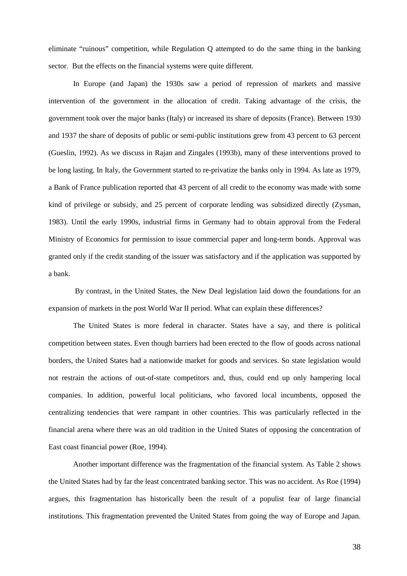eliminate "ruinous" competition, while Regulation Q attempted to do the same thing in the banking sector. But the effects on the financial systems were quite different.

In Europe (and Japan) the 1930s saw a period of repression of markets and massive intervention of the government in the allocation of credit. Taking advantage of the crisis, the government took over the major banks (Italy) or increased its share of deposits (France). Between 1930 and 1937 the share of deposits of public or semi-public institutions grew from 43 percent to 63 percent (Gueslin, 1992). As we discuss in Rajan and Zingales (1993b), many of these interventions proved to be long lasting. In Italy, the Government started to re-privatize the banks only in 1994. As late as 1979, a Bank of France publication reported that 43 percent of all credit to the economy was made with some kind of privilege or subsidy, and 25 percent of corporate lending was subsidized directly (Zysman, 1983). Until the early 1990s, industrial firms in Germany had to obtain approval from the Federal Ministry of Economics for permission to issue commercial paper and long-term bonds. Approval was granted only if the credit standing of the issuer was satisfactory and if the application was supported by a bank.

 By contrast, in the United States, the New Deal legislation laid down the foundations for an expansion of markets in the post World War II period. What can explain these differences?

The United States is more federal in character. States have a say, and there is political competition between states. Even though barriers had been erected to the flow of goods across national borders, the United States had a nationwide market for goods and services. So state legislation would not restrain the actions of out-of-state competitors and, thus, could end up only hampering local companies. In addition, powerful local politicians, who favored local incumbents, opposed the centralizing tendencies that were rampant in other countries. This was particularly reflected in the financial arena where there was an old tradition in the United States of opposing the concentration of East coast financial power (Roe, 1994).

Another important difference was the fragmentation of the financial system. As Table 2 shows the United States had by far the least concentrated banking sector. This was no accident. As Roe (1994) argues, this fragmentation has historically been the result of a populist fear of large financial institutions. This fragmentation prevented the United States from going the way of Europe and Japan.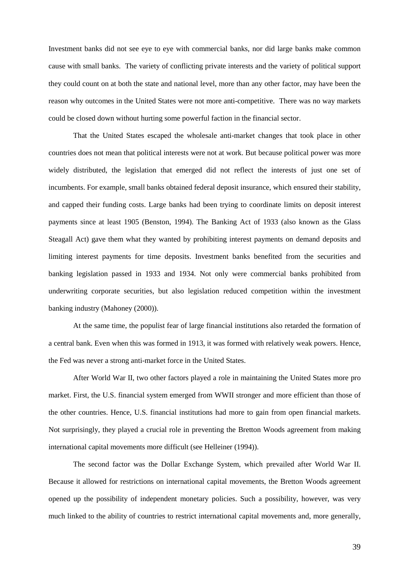Investment banks did not see eye to eye with commercial banks, nor did large banks make common cause with small banks. The variety of conflicting private interests and the variety of political support they could count on at both the state and national level, more than any other factor, may have been the reason why outcomes in the United States were not more anti-competitive. There was no way markets could be closed down without hurting some powerful faction in the financial sector.

That the United States escaped the wholesale anti-market changes that took place in other countries does not mean that political interests were not at work. But because political power was more widely distributed, the legislation that emerged did not reflect the interests of just one set of incumbents. For example, small banks obtained federal deposit insurance, which ensured their stability, and capped their funding costs. Large banks had been trying to coordinate limits on deposit interest payments since at least 1905 (Benston, 1994). The Banking Act of 1933 (also known as the Glass Steagall Act) gave them what they wanted by prohibiting interest payments on demand deposits and limiting interest payments for time deposits. Investment banks benefited from the securities and banking legislation passed in 1933 and 1934. Not only were commercial banks prohibited from underwriting corporate securities, but also legislation reduced competition within the investment banking industry (Mahoney (2000)).

At the same time, the populist fear of large financial institutions also retarded the formation of a central bank. Even when this was formed in 1913, it was formed with relatively weak powers. Hence, the Fed was never a strong anti-market force in the United States.

After World War II, two other factors played a role in maintaining the United States more pro market. First, the U.S. financial system emerged from WWII stronger and more efficient than those of the other countries. Hence, U.S. financial institutions had more to gain from open financial markets. Not surprisingly, they played a crucial role in preventing the Bretton Woods agreement from making international capital movements more difficult (see Helleiner (1994)).

The second factor was the Dollar Exchange System, which prevailed after World War II. Because it allowed for restrictions on international capital movements, the Bretton Woods agreement opened up the possibility of independent monetary policies. Such a possibility, however, was very much linked to the ability of countries to restrict international capital movements and, more generally,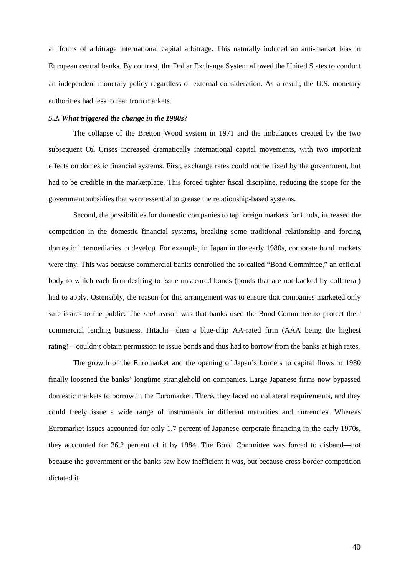all forms of arbitrage international capital arbitrage. This naturally induced an anti-market bias in European central banks. By contrast, the Dollar Exchange System allowed the United States to conduct an independent monetary policy regardless of external consideration. As a result, the U.S. monetary authorities had less to fear from markets.

#### *5.2. What triggered the change in the 1980s?*

The collapse of the Bretton Wood system in 1971 and the imbalances created by the two subsequent Oil Crises increased dramatically international capital movements, with two important effects on domestic financial systems. First, exchange rates could not be fixed by the government, but had to be credible in the marketplace. This forced tighter fiscal discipline, reducing the scope for the government subsidies that were essential to grease the relationship-based systems.

Second, the possibilities for domestic companies to tap foreign markets for funds, increased the competition in the domestic financial systems, breaking some traditional relationship and forcing domestic intermediaries to develop. For example, in Japan in the early 1980s, corporate bond markets were tiny. This was because commercial banks controlled the so-called "Bond Committee," an official body to which each firm desiring to issue unsecured bonds (bonds that are not backed by collateral) had to apply. Ostensibly, the reason for this arrangement was to ensure that companies marketed only safe issues to the public. The *real* reason was that banks used the Bond Committee to protect their commercial lending business. Hitachi—then a blue-chip AA-rated firm (AAA being the highest rating)—couldn't obtain permission to issue bonds and thus had to borrow from the banks at high rates.

The growth of the Euromarket and the opening of Japan's borders to capital flows in 1980 finally loosened the banks' longtime stranglehold on companies. Large Japanese firms now bypassed domestic markets to borrow in the Euromarket. There, they faced no collateral requirements, and they could freely issue a wide range of instruments in different maturities and currencies. Whereas Euromarket issues accounted for only 1.7 percent of Japanese corporate financing in the early 1970s, they accounted for 36.2 percent of it by 1984. The Bond Committee was forced to disband—not because the government or the banks saw how inefficient it was, but because cross-border competition dictated it.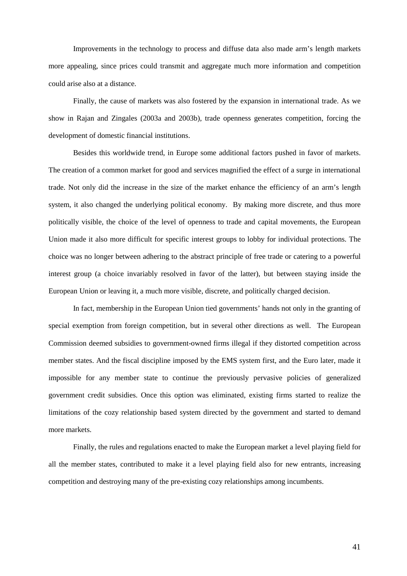Improvements in the technology to process and diffuse data also made arm's length markets more appealing, since prices could transmit and aggregate much more information and competition could arise also at a distance.

Finally, the cause of markets was also fostered by the expansion in international trade. As we show in Rajan and Zingales (2003a and 2003b), trade openness generates competition, forcing the development of domestic financial institutions.

Besides this worldwide trend, in Europe some additional factors pushed in favor of markets. The creation of a common market for good and services magnified the effect of a surge in international trade. Not only did the increase in the size of the market enhance the efficiency of an arm's length system, it also changed the underlying political economy. By making more discrete, and thus more politically visible, the choice of the level of openness to trade and capital movements, the European Union made it also more difficult for specific interest groups to lobby for individual protections. The choice was no longer between adhering to the abstract principle of free trade or catering to a powerful interest group (a choice invariably resolved in favor of the latter), but between staying inside the European Union or leaving it, a much more visible, discrete, and politically charged decision.

In fact, membership in the European Union tied governments' hands not only in the granting of special exemption from foreign competition, but in several other directions as well. The European Commission deemed subsidies to government-owned firms illegal if they distorted competition across member states. And the fiscal discipline imposed by the EMS system first, and the Euro later, made it impossible for any member state to continue the previously pervasive policies of generalized government credit subsidies. Once this option was eliminated, existing firms started to realize the limitations of the cozy relationship based system directed by the government and started to demand more markets.

Finally, the rules and regulations enacted to make the European market a level playing field for all the member states, contributed to make it a level playing field also for new entrants, increasing competition and destroying many of the pre-existing cozy relationships among incumbents.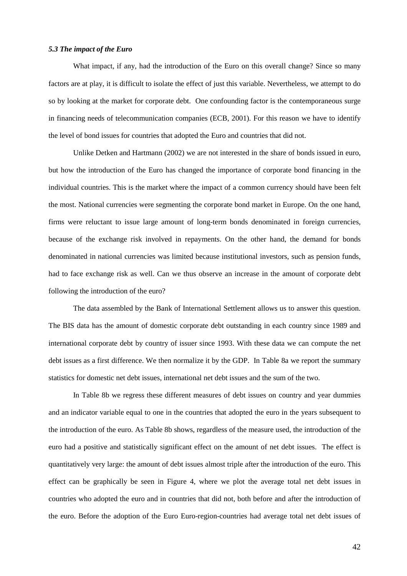#### *5.3 The impact of the Euro*

What impact, if any, had the introduction of the Euro on this overall change? Since so many factors are at play, it is difficult to isolate the effect of just this variable. Nevertheless, we attempt to do so by looking at the market for corporate debt. One confounding factor is the contemporaneous surge in financing needs of telecommunication companies (ECB, 2001). For this reason we have to identify the level of bond issues for countries that adopted the Euro and countries that did not.

Unlike Detken and Hartmann (2002) we are not interested in the share of bonds issued in euro, but how the introduction of the Euro has changed the importance of corporate bond financing in the individual countries. This is the market where the impact of a common currency should have been felt the most. National currencies were segmenting the corporate bond market in Europe. On the one hand, firms were reluctant to issue large amount of long-term bonds denominated in foreign currencies, because of the exchange risk involved in repayments. On the other hand, the demand for bonds denominated in national currencies was limited because institutional investors, such as pension funds, had to face exchange risk as well. Can we thus observe an increase in the amount of corporate debt following the introduction of the euro?

The data assembled by the Bank of International Settlement allows us to answer this question. The BIS data has the amount of domestic corporate debt outstanding in each country since 1989 and international corporate debt by country of issuer since 1993. With these data we can compute the net debt issues as a first difference. We then normalize it by the GDP. In Table 8a we report the summary statistics for domestic net debt issues, international net debt issues and the sum of the two.

In Table 8b we regress these different measures of debt issues on country and year dummies and an indicator variable equal to one in the countries that adopted the euro in the years subsequent to the introduction of the euro. As Table 8b shows, regardless of the measure used, the introduction of the euro had a positive and statistically significant effect on the amount of net debt issues. The effect is quantitatively very large: the amount of debt issues almost triple after the introduction of the euro. This effect can be graphically be seen in Figure 4, where we plot the average total net debt issues in countries who adopted the euro and in countries that did not, both before and after the introduction of the euro. Before the adoption of the Euro Euro-region-countries had average total net debt issues of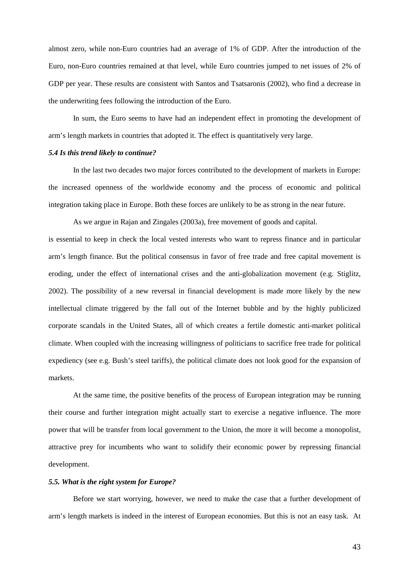almost zero, while non-Euro countries had an average of 1% of GDP. After the introduction of the Euro, non-Euro countries remained at that level, while Euro countries jumped to net issues of 2% of GDP per year. These results are consistent with Santos and Tsatsaronis (2002), who find a decrease in the underwriting fees following the introduction of the Euro.

In sum, the Euro seems to have had an independent effect in promoting the development of arm's length markets in countries that adopted it. The effect is quantitatively very large.

#### *5.4 Is this trend likely to continue?*

In the last two decades two major forces contributed to the development of markets in Europe: the increased openness of the worldwide economy and the process of economic and political integration taking place in Europe. Both these forces are unlikely to be as strong in the near future.

As we argue in Rajan and Zingales (2003a), free movement of goods and capital. is essential to keep in check the local vested interests who want to repress finance and in particular arm's length finance. But the political consensus in favor of free trade and free capital movement is eroding, under the effect of international crises and the anti-globalization movement (e.g. Stiglitz, 2002). The possibility of a new reversal in financial development is made more likely by the new intellectual climate triggered by the fall out of the Internet bubble and by the highly publicized corporate scandals in the United States, all of which creates a fertile domestic anti-market political climate. When coupled with the increasing willingness of politicians to sacrifice free trade for political expediency (see e.g. Bush's steel tariffs), the political climate does not look good for the expansion of markets.

At the same time, the positive benefits of the process of European integration may be running their course and further integration might actually start to exercise a negative influence. The more power that will be transfer from local government to the Union, the more it will become a monopolist, attractive prey for incumbents who want to solidify their economic power by repressing financial development.

#### *5.5. What is the right system for Europe?*

Before we start worrying, however, we need to make the case that a further development of arm's length markets is indeed in the interest of European economies. But this is not an easy task. At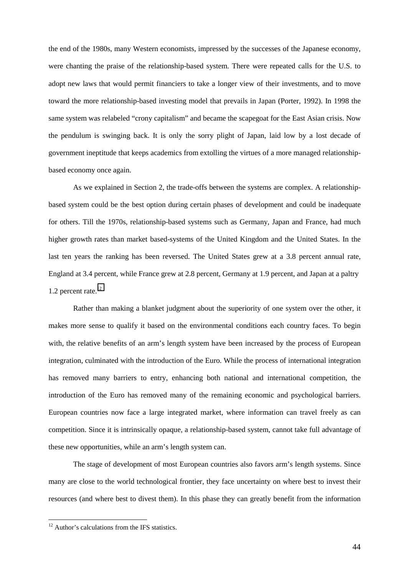the end of the 1980s, many Western economists, impressed by the successes of the Japanese economy, were chanting the praise of the relationship-based system. There were repeated calls for the U.S. to adopt new laws that would permit financiers to take a longer view of their investments, and to move toward the more relationship-based investing model that prevails in Japan (Porter, 1992). In 1998 the same system was relabeled "crony capitalism" and became the scapegoat for the East Asian crisis. Now the pendulum is swinging back. It is only the sorry plight of Japan, laid low by a lost decade of government ineptitude that keeps academics from extolling the virtues of a more managed relationshipbased economy once again.

As we explained in Section 2, the trade-offs between the systems are complex. A relationshipbased system could be the best option during certain phases of development and could be inadequate for others. Till the 1970s, relationship-based systems such as Germany, Japan and France, had much higher growth rates than market based-systems of the United Kingdom and the United States. In the last ten years the ranking has been reversed. The United States grew at a 3.8 percent annual rate, England at 3.4 percent, while France grew at 2.8 percent, Germany at 1.9 percent, and Japan at a paltry 1.2 percent rate.<sup>12</sup>

Rather than making a blanket judgment about the superiority of one system over the other, it makes more sense to qualify it based on the environmental conditions each country faces. To begin with, the relative benefits of an arm's length system have been increased by the process of European integration, culminated with the introduction of the Euro. While the process of international integration has removed many barriers to entry, enhancing both national and international competition, the introduction of the Euro has removed many of the remaining economic and psychological barriers. European countries now face a large integrated market, where information can travel freely as can competition. Since it is intrinsically opaque, a relationship-based system, cannot take full advantage of these new opportunities, while an arm's length system can.

The stage of development of most European countries also favors arm's length systems. Since many are close to the world technological frontier, they face uncertainty on where best to invest their resources (and where best to divest them). In this phase they can greatly benefit from the information

 $\overline{a}$ 

 $12$  Author's calculations from the IFS statistics.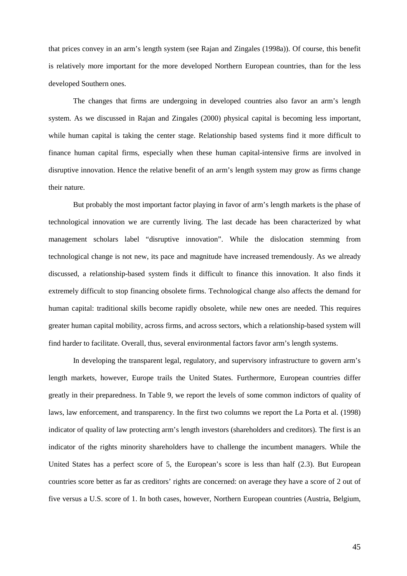that prices convey in an arm's length system (see Rajan and Zingales (1998a)). Of course, this benefit is relatively more important for the more developed Northern European countries, than for the less developed Southern ones.

The changes that firms are undergoing in developed countries also favor an arm's length system. As we discussed in Rajan and Zingales (2000) physical capital is becoming less important, while human capital is taking the center stage. Relationship based systems find it more difficult to finance human capital firms, especially when these human capital-intensive firms are involved in disruptive innovation. Hence the relative benefit of an arm's length system may grow as firms change their nature.

But probably the most important factor playing in favor of arm's length markets is the phase of technological innovation we are currently living. The last decade has been characterized by what management scholars label "disruptive innovation". While the dislocation stemming from technological change is not new, its pace and magnitude have increased tremendously. As we already discussed, a relationship-based system finds it difficult to finance this innovation. It also finds it extremely difficult to stop financing obsolete firms. Technological change also affects the demand for human capital: traditional skills become rapidly obsolete, while new ones are needed. This requires greater human capital mobility, across firms, and across sectors, which a relationship-based system will find harder to facilitate. Overall, thus, several environmental factors favor arm's length systems.

In developing the transparent legal, regulatory, and supervisory infrastructure to govern arm's length markets, however, Europe trails the United States. Furthermore, European countries differ greatly in their preparedness. In Table 9, we report the levels of some common indictors of quality of laws, law enforcement, and transparency. In the first two columns we report the La Porta et al. (1998) indicator of quality of law protecting arm's length investors (shareholders and creditors). The first is an indicator of the rights minority shareholders have to challenge the incumbent managers. While the United States has a perfect score of 5, the European's score is less than half (2.3). But European countries score better as far as creditors' rights are concerned: on average they have a score of 2 out of five versus a U.S. score of 1. In both cases, however, Northern European countries (Austria, Belgium,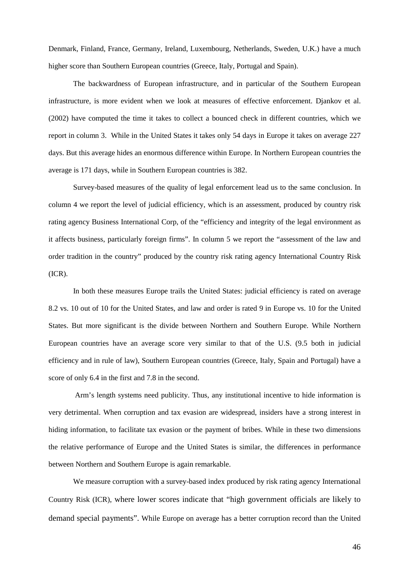Denmark, Finland, France, Germany, Ireland, Luxembourg, Netherlands, Sweden, U.K.) have a much higher score than Southern European countries (Greece, Italy, Portugal and Spain).

The backwardness of European infrastructure, and in particular of the Southern European infrastructure, is more evident when we look at measures of effective enforcement. Djankov et al. (2002) have computed the time it takes to collect a bounced check in different countries, which we report in column 3. While in the United States it takes only 54 days in Europe it takes on average 227 days. But this average hides an enormous difference within Europe. In Northern European countries the average is 171 days, while in Southern European countries is 382.

Survey-based measures of the quality of legal enforcement lead us to the same conclusion. In column 4 we report the level of judicial efficiency, which is an assessment, produced by country risk rating agency Business International Corp, of the "efficiency and integrity of the legal environment as it affects business, particularly foreign firms". In column 5 we report the "assessment of the law and order tradition in the country" produced by the country risk rating agency International Country Risk (ICR).

In both these measures Europe trails the United States: judicial efficiency is rated on average 8.2 vs. 10 out of 10 for the United States, and law and order is rated 9 in Europe vs. 10 for the United States. But more significant is the divide between Northern and Southern Europe. While Northern European countries have an average score very similar to that of the U.S. (9.5 both in judicial efficiency and in rule of law), Southern European countries (Greece, Italy, Spain and Portugal) have a score of only 6.4 in the first and 7.8 in the second.

 Arm's length systems need publicity. Thus, any institutional incentive to hide information is very detrimental. When corruption and tax evasion are widespread, insiders have a strong interest in hiding information, to facilitate tax evasion or the payment of bribes. While in these two dimensions the relative performance of Europe and the United States is similar, the differences in performance between Northern and Southern Europe is again remarkable.

We measure corruption with a survey-based index produced by risk rating agency International Country Risk (ICR), where lower scores indicate that "high government officials are likely to demand special payments". While Europe on average has a better corruption record than the United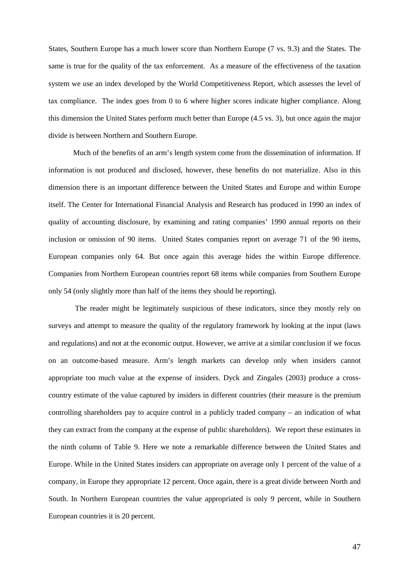States, Southern Europe has a much lower score than Northern Europe (7 vs. 9.3) and the States. The same is true for the quality of the tax enforcement. As a measure of the effectiveness of the taxation system we use an index developed by the World Competitiveness Report, which assesses the level of tax compliance. The index goes from 0 to 6 where higher scores indicate higher compliance. Along this dimension the United States perform much better than Europe (4.5 vs. 3), but once again the major divide is between Northern and Southern Europe.

Much of the benefits of an arm's length system come from the dissemination of information. If information is not produced and disclosed, however, these benefits do not materialize. Also in this dimension there is an important difference between the United States and Europe and within Europe itself. The Center for International Financial Analysis and Research has produced in 1990 an index of quality of accounting disclosure, by examining and rating companies' 1990 annual reports on their inclusion or omission of 90 items. United States companies report on average 71 of the 90 items, European companies only 64. But once again this average hides the within Europe difference. Companies from Northern European countries report 68 items while companies from Southern Europe only 54 (only slightly more than half of the items they should be reporting).

 The reader might be legitimately suspicious of these indicators, since they mostly rely on surveys and attempt to measure the quality of the regulatory framework by looking at the input (laws and regulations) and not at the economic output. However, we arrive at a similar conclusion if we focus on an outcome-based measure. Arm's length markets can develop only when insiders cannot appropriate too much value at the expense of insiders. Dyck and Zingales (2003) produce a crosscountry estimate of the value captured by insiders in different countries (their measure is the premium controlling shareholders pay to acquire control in a publicly traded company – an indication of what they can extract from the company at the expense of public shareholders). We report these estimates in the ninth column of Table 9. Here we note a remarkable difference between the United States and Europe. While in the United States insiders can appropriate on average only 1 percent of the value of a company, in Europe they appropriate 12 percent. Once again, there is a great divide between North and South. In Northern European countries the value appropriated is only 9 percent, while in Southern European countries it is 20 percent.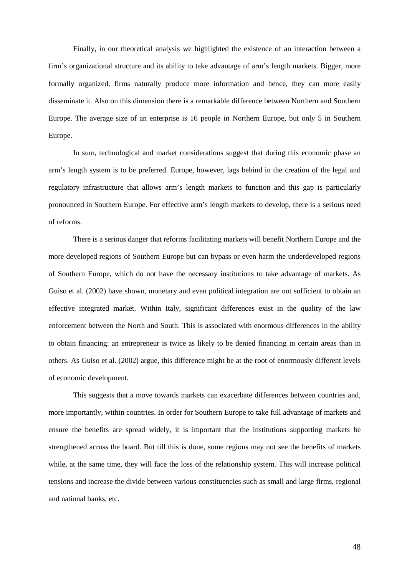Finally, in our theoretical analysis we highlighted the existence of an interaction between a firm's organizational structure and its ability to take advantage of arm's length markets. Bigger, more formally organized, firms naturally produce more information and hence, they can more easily disseminate it. Also on this dimension there is a remarkable difference between Northern and Southern Europe. The average size of an enterprise is 16 people in Northern Europe, but only 5 in Southern Europe.

 In sum, technological and market considerations suggest that during this economic phase an arm's length system is to be preferred. Europe, however, lags behind in the creation of the legal and regulatory infrastructure that allows arm's length markets to function and this gap is particularly pronounced in Southern Europe. For effective arm's length markets to develop, there is a serious need of reforms.

There is a serious danger that reforms facilitating markets will benefit Northern Europe and the more developed regions of Southern Europe but can bypass or even harm the underdeveloped regions of Southern Europe, which do not have the necessary institutions to take advantage of markets. As Guiso et al. (2002) have shown, monetary and even political integration are not sufficient to obtain an effective integrated market. Within Italy, significant differences exist in the quality of the law enforcement between the North and South. This is associated with enormous differences in the ability to obtain financing: an entrepreneur is twice as likely to be denied financing in certain areas than in others. As Guiso et al. (2002) argue, this difference might be at the root of enormously different levels of economic development.

This suggests that a move towards markets can exacerbate differences between countries and, more importantly, within countries. In order for Southern Europe to take full advantage of markets and ensure the benefits are spread widely, it is important that the institutions supporting markets be strengthened across the board. But till this is done, some regions may not see the benefits of markets while, at the same time, they will face the loss of the relationship system. This will increase political tensions and increase the divide between various constituencies such as small and large firms, regional and national banks, etc.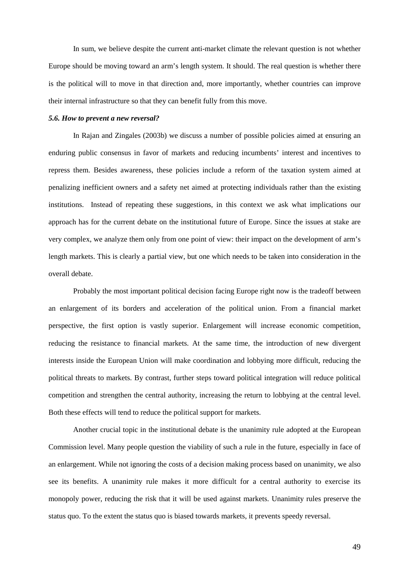In sum, we believe despite the current anti-market climate the relevant question is not whether Europe should be moving toward an arm's length system. It should. The real question is whether there is the political will to move in that direction and, more importantly, whether countries can improve their internal infrastructure so that they can benefit fully from this move.

#### *5.6. How to prevent a new reversal?*

In Rajan and Zingales (2003b) we discuss a number of possible policies aimed at ensuring an enduring public consensus in favor of markets and reducing incumbents' interest and incentives to repress them. Besides awareness, these policies include a reform of the taxation system aimed at penalizing inefficient owners and a safety net aimed at protecting individuals rather than the existing institutions. Instead of repeating these suggestions, in this context we ask what implications our approach has for the current debate on the institutional future of Europe. Since the issues at stake are very complex, we analyze them only from one point of view: their impact on the development of arm's length markets. This is clearly a partial view, but one which needs to be taken into consideration in the overall debate.

Probably the most important political decision facing Europe right now is the tradeoff between an enlargement of its borders and acceleration of the political union. From a financial market perspective, the first option is vastly superior. Enlargement will increase economic competition, reducing the resistance to financial markets. At the same time, the introduction of new divergent interests inside the European Union will make coordination and lobbying more difficult, reducing the political threats to markets. By contrast, further steps toward political integration will reduce political competition and strengthen the central authority, increasing the return to lobbying at the central level. Both these effects will tend to reduce the political support for markets.

Another crucial topic in the institutional debate is the unanimity rule adopted at the European Commission level. Many people question the viability of such a rule in the future, especially in face of an enlargement. While not ignoring the costs of a decision making process based on unanimity, we also see its benefits. A unanimity rule makes it more difficult for a central authority to exercise its monopoly power, reducing the risk that it will be used against markets. Unanimity rules preserve the status quo. To the extent the status quo is biased towards markets, it prevents speedy reversal.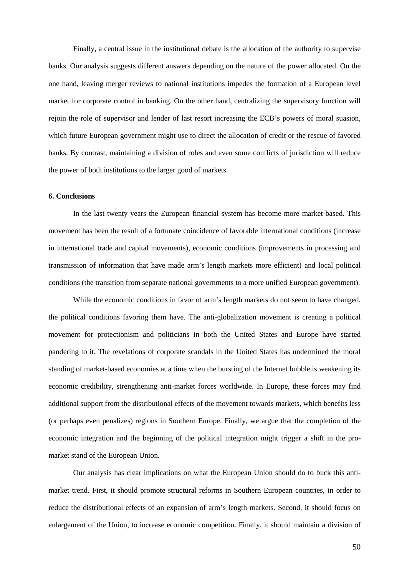Finally, a central issue in the institutional debate is the allocation of the authority to supervise banks. Our analysis suggests different answers depending on the nature of the power allocated. On the one hand, leaving merger reviews to national institutions impedes the formation of a European level market for corporate control in banking. On the other hand, centralizing the supervisory function will rejoin the role of supervisor and lender of last resort increasing the ECB's powers of moral suasion, which future European government might use to direct the allocation of credit or the rescue of favored banks. By contrast, maintaining a division of roles and even some conflicts of jurisdiction will reduce the power of both institutions to the larger good of markets.

#### **6. Conclusions**

In the last twenty years the European financial system has become more market-based. This movement has been the result of a fortunate coincidence of favorable international conditions (increase in international trade and capital movements), economic conditions (improvements in processing and transmission of information that have made arm's length markets more efficient) and local political conditions (the transition from separate national governments to a more unified European government).

While the economic conditions in favor of arm's length markets do not seem to have changed, the political conditions favoring them have. The anti-globalization movement is creating a political movement for protectionism and politicians in both the United States and Europe have started pandering to it. The revelations of corporate scandals in the United States has undermined the moral standing of market-based economies at a time when the bursting of the Internet bubble is weakening its economic credibility, strengthening anti-market forces worldwide. In Europe, these forces may find additional support from the distributional effects of the movement towards markets, which benefits less (or perhaps even penalizes) regions in Southern Europe. Finally, we argue that the completion of the economic integration and the beginning of the political integration might trigger a shift in the promarket stand of the European Union.

Our analysis has clear implications on what the European Union should do to buck this antimarket trend. First, it should promote structural reforms in Southern European countries, in order to reduce the distributional effects of an expansion of arm's length markets. Second, it should focus on enlargement of the Union, to increase economic competition. Finally, it should maintain a division of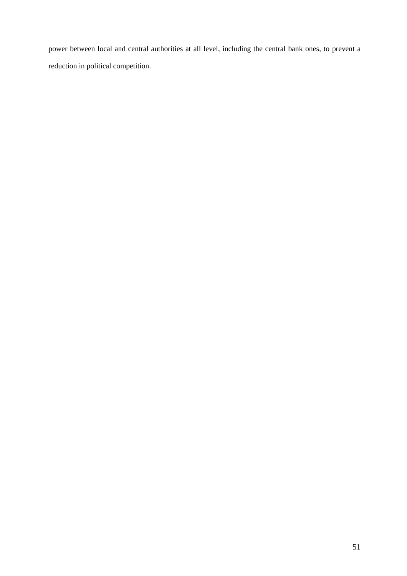power between local and central authorities at all level, including the central bank ones, to prevent a reduction in political competition.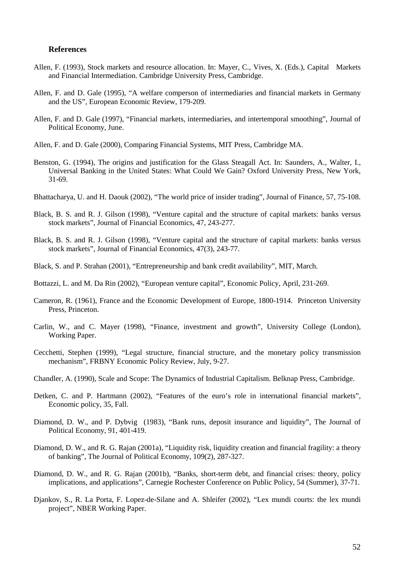#### **References**

- Allen, F. (1993), Stock markets and resource allocation. In: Mayer, C., Vives, X. (Eds.), Capital Markets and Financial Intermediation. Cambridge University Press, Cambridge.
- Allen, F. and D. Gale (1995), "A welfare comperson of intermediaries and financial markets in Germany and the US", European Economic Review, 179-209.
- Allen, F. and D. Gale (1997), "Financial markets, intermediaries, and intertemporal smoothing", Journal of Political Economy, June.
- Allen, F. and D. Gale (2000), Comparing Financial Systems, MIT Press, Cambridge MA.
- Benston, G. (1994), The origins and justification for the Glass Steagall Act. In: Saunders, A., Walter, I., Universal Banking in the United States: What Could We Gain? Oxford University Press, New York, 31-69.
- Bhattacharya, U. and H. Daouk (2002), "The world price of insider trading", Journal of Finance, 57, 75-108.
- Black, B. S. and R. J. Gilson (1998), "Venture capital and the structure of capital markets: banks versus stock markets", Journal of Financial Economics, 47, 243-277.
- Black, B. S. and R. J. Gilson (1998), "Venture capital and the structure of capital markets: banks versus stock markets", Journal of Financial Economics, 47(3), 243-77.
- Black, S. and P. Strahan (2001), "Entrepreneurship and bank credit availability", MIT, March.
- Bottazzi, L. and M. Da Rin (2002), "European venture capital", Economic Policy, April, 231-269.
- Cameron, R. (1961), France and the Economic Development of Europe, 1800-1914. Princeton University Press, Princeton.
- Carlin, W., and C. Mayer (1998), "Finance, investment and growth", University College (London), Working Paper.
- Cecchetti, Stephen (1999), "Legal structure, financial structure, and the monetary policy transmission mechanism", FRBNY Economic Policy Review, July, 9-27.
- Chandler, A. (1990), Scale and Scope: The Dynamics of Industrial Capitalism. Belknap Press, Cambridge.
- Detken, C. and P. Hartmann (2002), "Features of the euro's role in international financial markets", Economic policy, 35, Fall.
- Diamond, D. W., and P. Dybvig (1983), "Bank runs, deposit insurance and liquidity", The Journal of Political Economy, 91, 401-419.
- Diamond, D. W., and R. G. Rajan (2001a), "Liquidity risk, liquidity creation and financial fragility: a theory of banking", The Journal of Political Economy, 109(2), 287-327.
- Diamond, D. W., and R. G. Rajan (2001b), "Banks, short-term debt, and financial crises: theory, policy implications, and applications", Carnegie Rochester Conference on Public Policy, 54 (Summer), 37-71.
- Djankov, S., R. La Porta, F. Lopez-de-Silane and A. Shleifer (2002), "Lex mundi courts: the lex mundi project", NBER Working Paper.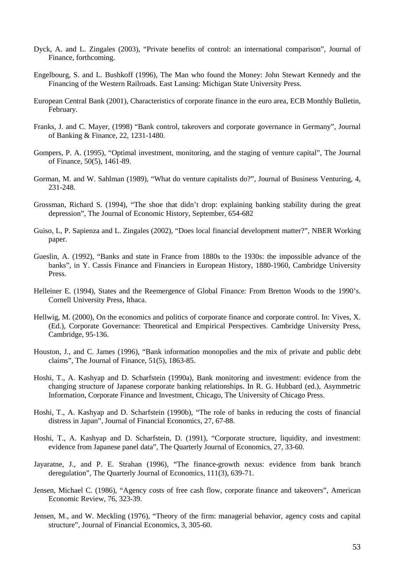- Dyck, A. and L. Zingales (2003), "Private benefits of control: an international comparison", Journal of Finance, forthcoming.
- Engelbourg, S. and L. Bushkoff (1996), The Man who found the Money: John Stewart Kennedy and the Financing of the Western Railroads. East Lansing: Michigan State University Press.
- European Central Bank (2001), Characteristics of corporate finance in the euro area, ECB Monthly Bulletin, February.
- Franks, J. and C. Mayer, (1998) "Bank control, takeovers and corporate governance in Germany", Journal of Banking & Finance, 22, 1231-1480.
- Gompers, P. A. (1995), "Optimal investment, monitoring, and the staging of venture capital", The Journal of Finance, 50(5), 1461-89.
- Gorman, M. and W. Sahlman (1989), "What do venture capitalists do?", Journal of Business Venturing, 4, 231-248.
- Grossman, Richard S. (1994), "The shoe that didn't drop: explaining banking stability during the great depression", The Journal of Economic History, September, 654-682
- Guiso, L, P. Sapienza and L. Zingales (2002), "Does local financial development matter?", NBER Working paper.
- Gueslin, A. (1992), "Banks and state in France from 1880s to the 1930s: the impossible advance of the banks", in Y. Cassis Finance and Financiers in European History, 1880-1960, Cambridge University Press.
- Helleiner E. (1994), States and the Reemergence of Global Finance: From Bretton Woods to the 1990's. Cornell University Press, Ithaca.
- Hellwig, M. (2000), On the economics and politics of corporate finance and corporate control. In: Vives, X. (Ed.), Corporate Governance: Theoretical and Empirical Perspectives. Cambridge University Press, Cambridge, 95-136.
- Houston, J., and C. James (1996), "Bank information monopolies and the mix of private and public debt claims", The Journal of Finance, 51(5), 1863-85.
- Hoshi, T., A. Kashyap and D. Scharfstein (1990a), Bank monitoring and investment: evidence from the changing structure of Japanese corporate banking relationships. In R. G. Hubbard (ed.), Asymmetric Information, Corporate Finance and Investment, Chicago, The University of Chicago Press.
- Hoshi, T., A. Kashyap and D. Scharfstein (1990b), "The role of banks in reducing the costs of financial distress in Japan", Journal of Financial Economics, 27, 67-88.
- Hoshi, T., A. Kashyap and D. Scharfstein, D. (1991), "Corporate structure, liquidity, and investment: evidence from Japanese panel data", The Quarterly Journal of Economics, 27, 33-60.
- Jayaratne, J., and P. E. Strahan (1996), "The finance-growth nexus: evidence from bank branch deregulation", The Quarterly Journal of Economics, 111(3), 639-71.
- Jensen, Michael C. (1986), "Agency costs of free cash flow, corporate finance and takeovers", American Economic Review, 76, 323-39.
- Jensen, M., and W. Meckling (1976), "Theory of the firm: managerial behavior, agency costs and capital structure", Journal of Financial Economics, 3, 305-60.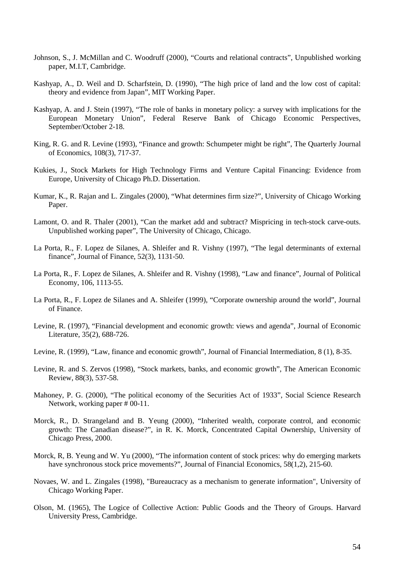- Johnson, S., J. McMillan and C. Woodruff (2000), "Courts and relational contracts", Unpublished working paper, M.I.T, Cambridge.
- Kashyap, A., D. Weil and D. Scharfstein, D. (1990), "The high price of land and the low cost of capital: theory and evidence from Japan", MIT Working Paper.
- Kashyap, A. and J. Stein (1997), "The role of banks in monetary policy: a survey with implications for the European Monetary Union", Federal Reserve Bank of Chicago Economic Perspectives, September/October 2-18.
- King, R. G. and R. Levine (1993), "Finance and growth: Schumpeter might be right", The Quarterly Journal of Economics, 108(3), 717-37.
- Kukies, J., Stock Markets for High Technology Firms and Venture Capital Financing: Evidence from Europe, University of Chicago Ph.D. Dissertation.
- Kumar, K., R. Rajan and L. Zingales (2000), "What determines firm size?", University of Chicago Working Paper.
- Lamont, O. and R. Thaler (2001), "Can the market add and subtract? Mispricing in tech-stock carve-outs. Unpublished working paper", The University of Chicago, Chicago.
- La Porta, R., F. Lopez de Silanes, A. Shleifer and R. Vishny (1997), "The legal determinants of external finance", Journal of Finance, 52(3), 1131-50.
- La Porta, R., F. Lopez de Silanes, A. Shleifer and R. Vishny (1998), "Law and finance", Journal of Political Economy, 106, 1113-55.
- La Porta, R., F. Lopez de Silanes and A. Shleifer (1999), "Corporate ownership around the world", Journal of Finance.
- Levine, R. (1997), "Financial development and economic growth: views and agenda", Journal of Economic Literature, 35(2), 688-726.
- Levine, R. (1999), "Law, finance and economic growth", Journal of Financial Intermediation, 8 (1), 8-35.
- Levine, R. and S. Zervos (1998), "Stock markets, banks, and economic growth", The American Economic Review, 88(3), 537-58.
- Mahoney, P. G. (2000), "The political economy of the Securities Act of 1933", Social Science Research Network, working paper # 00-11.
- Morck, R., D. Strangeland and B. Yeung (2000), "Inherited wealth, corporate control, and economic growth: The Canadian disease?", in R. K. Morck, Concentrated Capital Ownership, University of Chicago Press, 2000.
- Morck, R, B. Yeung and W. Yu (2000), "The information content of stock prices: why do emerging markets have synchronous stock price movements?", Journal of Financial Economics, 58(1,2), 215-60.
- Novaes, W. and L. Zingales (1998), "Bureaucracy as a mechanism to generate information", University of Chicago Working Paper.
- Olson, M. (1965), The Logice of Collective Action: Public Goods and the Theory of Groups. Harvard University Press, Cambridge.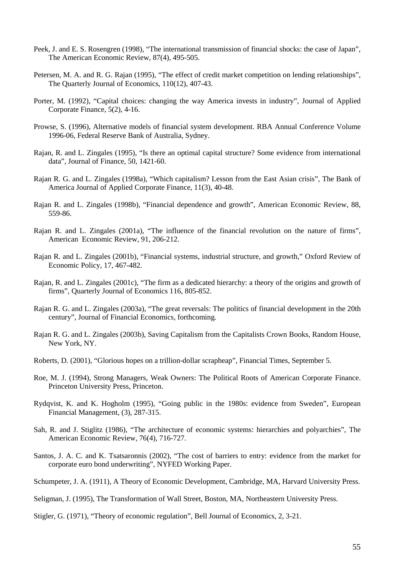- Peek, J. and E. S. Rosengren (1998), "The international transmission of financial shocks: the case of Japan", The American Economic Review, 87(4), 495-505.
- Petersen, M. A. and R. G. Rajan (1995), "The effect of credit market competition on lending relationships", The Quarterly Journal of Economics, 110(12), 407-43.
- Porter, M. (1992), "Capital choices: changing the way America invests in industry", Journal of Applied Corporate Finance, 5(2), 4-16.
- Prowse, S. (1996), Alternative models of financial system development. RBA Annual Conference Volume 1996-06, Federal Reserve Bank of Australia, Sydney.
- Rajan, R. and L. Zingales (1995), "Is there an optimal capital structure? Some evidence from international data", Journal of Finance, 50, 1421-60.
- Rajan R. G. and L. Zingales (1998a), "Which capitalism? Lesson from the East Asian crisis", The Bank of America Journal of Applied Corporate Finance, 11(3), 40-48.
- Rajan R. and L. Zingales (1998b), "Financial dependence and growth", American Economic Review, 88, 559-86.
- Rajan R. and L. Zingales (2001a), "The influence of the financial revolution on the nature of firms", American Economic Review, 91, 206-212.
- Rajan R. and L. Zingales (2001b), "Financial systems, industrial structure, and growth," Oxford Review of Economic Policy, 17, 467-482.
- Rajan, R. and L. Zingales (2001c), "The firm as a dedicated hierarchy: a theory of the origins and growth of firms", Quarterly Journal of Economics 116, 805-852.
- Rajan R. G. and L. Zingales (2003a), "The great reversals: The politics of financial development in the 20th century", Journal of Financial Economics, forthcoming.
- Rajan R. G. and L. Zingales (2003b), Saving Capitalism from the Capitalists Crown Books, Random House, New York, NY.
- Roberts, D. (2001), "Glorious hopes on a trillion-dollar scrapheap", Financial Times, September 5.
- Roe, M. J. (1994), Strong Managers, Weak Owners: The Political Roots of American Corporate Finance. Princeton University Press, Princeton.
- Rydqvist, K. and K. Hogholm (1995), "Going public in the 1980s: evidence from Sweden", European Financial Management, (3), 287-315.
- Sah, R. and J. Stiglitz (1986), "The architecture of economic systems: hierarchies and polyarchies", The American Economic Review, 76(4), 716-727.
- Santos, J. A. C. and K. Tsatsaronnis (2002), "The cost of barriers to entry: evidence from the market for corporate euro bond underwriting", NYFED Working Paper.
- Schumpeter, J. A. (1911), A Theory of Economic Development, Cambridge, MA, Harvard University Press.
- Seligman, J. (1995), The Transformation of Wall Street, Boston, MA, Northeastern University Press.
- Stigler, G. (1971), "Theory of economic regulation", Bell Journal of Economics, 2, 3-21.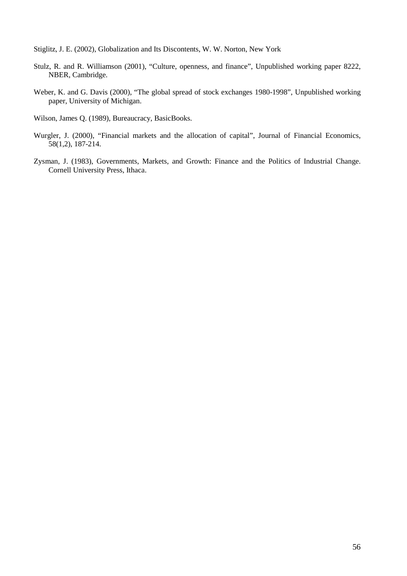Stiglitz, J. E. (2002), Globalization and Its Discontents, W. W. Norton, New York

- Stulz, R. and R. Williamson (2001), "Culture, openness, and finance", Unpublished working paper 8222, NBER, Cambridge.
- Weber, K. and G. Davis (2000), "The global spread of stock exchanges 1980-1998", Unpublished working paper, University of Michigan.
- Wilson, James Q. (1989), Bureaucracy, BasicBooks.
- Wurgler, J. (2000), "Financial markets and the allocation of capital", Journal of Financial Economics, 58(1,2), 187-214.
- Zysman, J. (1983), Governments, Markets, and Growth: Finance and the Politics of Industrial Change. Cornell University Press, Ithaca.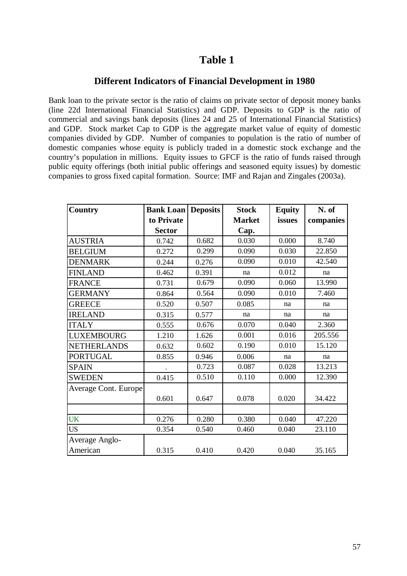### **Different Indicators of Financial Development in 1980**

Bank loan to the private sector is the ratio of claims on private sector of deposit money banks (line 22d International Financial Statistics) and GDP. Deposits to GDP is the ratio of commercial and savings bank deposits (lines 24 and 25 of International Financial Statistics) and GDP. Stock market Cap to GDP is the aggregate market value of equity of domestic companies divided by GDP. Number of companies to population is the ratio of number of domestic companies whose equity is publicly traded in a domestic stock exchange and the country's population in millions. Equity issues to GFCF is the ratio of funds raised through public equity offerings (both initial public offerings and seasoned equity issues) by domestic companies to gross fixed capital formation. Source: IMF and Rajan and Zingales (2003a).

| <b>Country</b>       | <b>Bank Loan</b> | <b>Deposits</b> | <b>Stock</b>  | <b>Equity</b> | N. of     |
|----------------------|------------------|-----------------|---------------|---------------|-----------|
|                      | to Private       |                 | <b>Market</b> | issues        | companies |
|                      | <b>Sector</b>    |                 | Cap.          |               |           |
| <b>AUSTRIA</b>       | 0.742            | 0.682           | 0.030         | 0.000         | 8.740     |
| <b>BELGIUM</b>       | 0.272            | 0.299           | 0.090         | 0.030         | 22.850    |
| <b>DENMARK</b>       | 0.244            | 0.276           | 0.090         | 0.010         | 42.540    |
| <b>FINLAND</b>       | 0.462            | 0.391           | na            | 0.012         | na        |
| <b>FRANCE</b>        | 0.731            | 0.679           | 0.090         | 0.060         | 13.990    |
| <b>GERMANY</b>       | 0.864            | 0.564           | 0.090         | 0.010         | 7.460     |
| <b>GREECE</b>        | 0.520            | 0.507           | 0.085         | na            | na        |
| <b>IRELAND</b>       | 0.315            | 0.577           | na            | na            | na        |
| <b>ITALY</b>         | 0.555            | 0.676           | 0.070         | 0.040         | 2.360     |
| <b>LUXEMBOURG</b>    | 1.210            | 1.626           | 0.001         | 0.016         | 205.556   |
| <b>NETHERLANDS</b>   | 0.632            | 0.602           | 0.190         | 0.010         | 15.120    |
| <b>PORTUGAL</b>      | 0.855            | 0.946           | 0.006         | na            | na        |
| <b>SPAIN</b>         |                  | 0.723           | 0.087         | 0.028         | 13.213    |
| <b>SWEDEN</b>        | 0.415            | 0.510           | 0.110         | 0.000         | 12.390    |
| Average Cont. Europe |                  |                 |               |               |           |
|                      | 0.601            | 0.647           | 0.078         | 0.020         | 34.422    |
|                      |                  |                 |               |               |           |
| <b>UK</b>            | 0.276            | 0.280           | 0.380         | 0.040         | 47.220    |
| <b>US</b>            | 0.354            | 0.540           | 0.460         | 0.040         | 23.110    |
| Average Anglo-       |                  |                 |               |               |           |
| American             | 0.315            | 0.410           | 0.420         | 0.040         | 35.165    |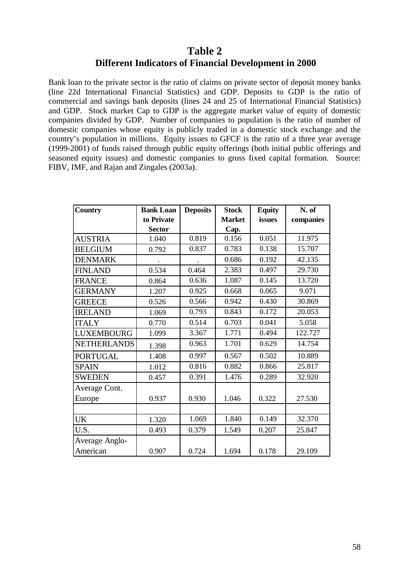### **Table 2 Different Indicators of Financial Development in 2000**

Bank loan to the private sector is the ratio of claims on private sector of deposit money banks (line 22d International Financial Statistics) and GDP. Deposits to GDP is the ratio of commercial and savings bank deposits (lines 24 and 25 of International Financial Statistics) and GDP. Stock market Cap to GDP is the aggregate market value of equity of domestic companies divided by GDP. Number of companies to population is the ratio of number of domestic companies whose equity is publicly traded in a domestic stock exchange and the country's population in millions. Equity issues to GFCF is the ratio of a three year average (1999-2001) of funds raised through public equity offerings (both initial public offerings and seasoned equity issues) and domestic companies to gross fixed capital formation. Source: FIBV, IMF, and Rajan and Zingales (2003a).

| Country            | <b>Bank Loan</b> | <b>Deposits</b> | <b>Stock</b>  | <b>Equity</b> | N. of     |
|--------------------|------------------|-----------------|---------------|---------------|-----------|
|                    | to Private       |                 | <b>Market</b> | issues        | companies |
|                    | <b>Sector</b>    |                 | Cap.          |               |           |
| <b>AUSTRIA</b>     | 1.040            | 0.819           | 0.156         | 0.051         | 11.975    |
| <b>BELGIUM</b>     | 0.792            | 0.837           | 0.783         | 0.138         | 15.707    |
| <b>DENMARK</b>     |                  |                 | 0.686         | 0.192         | 42.135    |
| <b>FINLAND</b>     | 0.534            | 0.464           | 2.383         | 0.497         | 29.730    |
| <b>FRANCE</b>      | 0.864            | 0.636           | 1.087         | 0.145         | 13.720    |
| <b>GERMANY</b>     | 1.207            | 0.925           | 0.668         | 0.065         | 9.071     |
| <b>GREECE</b>      | 0.526            | 0.566           | 0.942         | 0.430         | 30.869    |
| <b>IRELAND</b>     | 1.069            | 0.793           | 0.843         | 0.172         | 20.053    |
| <b>ITALY</b>       | 0.770            | 0.514           | 0.703         | 0.041         | 5.058     |
| <b>LUXEMBOURG</b>  | 1.099            | 3.367           | 1.771         | 0.494         | 122.727   |
| <b>NETHERLANDS</b> | 1.398            | 0.963           | 1.701         | 0.629         | 14.754    |
| <b>PORTUGAL</b>    | 1.408            | 0.997           | 0.567         | 0.502         | 10.889    |
| <b>SPAIN</b>       | 1.012            | 0.816           | 0.882         | 0.866         | 25.817    |
| <b>SWEDEN</b>      | 0.457            | 0.391           | 1.476         | 0.289         | 32.920    |
| Average Cont.      |                  |                 |               |               |           |
| Europe             | 0.937            | 0.930           | 1.046         | 0.322         | 27.530    |
|                    |                  |                 |               |               |           |
| <b>UK</b>          | 1.320            | 1.069           | 1.840         | 0.149         | 32.370    |
| U.S.               | 0.493            | 0.379           | 1.549         | 0.207         | 25.847    |
| Average Anglo-     |                  |                 |               |               |           |
| American           | 0.907            | 0.724           | 1.694         | 0.178         | 29.109    |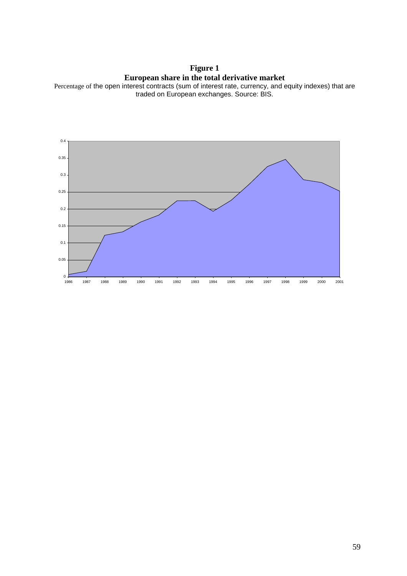**Figure 1 European share in the total derivative market**

Percentage of the open interest contracts (sum of interest rate, currency, and equity indexes) that are traded on European exchanges. Source: BIS.

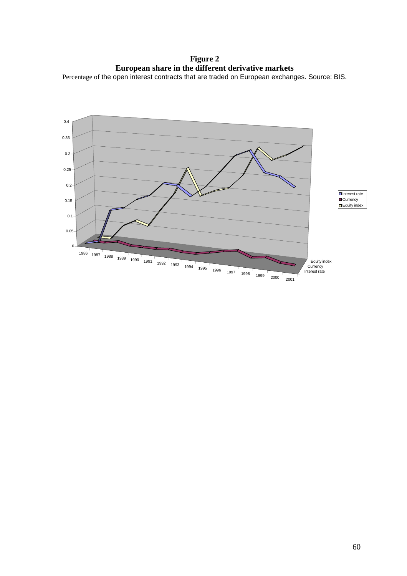**Figure 2 European share in the different derivative markets** Percentage of the open interest contracts that are traded on European exchanges. Source: BIS.

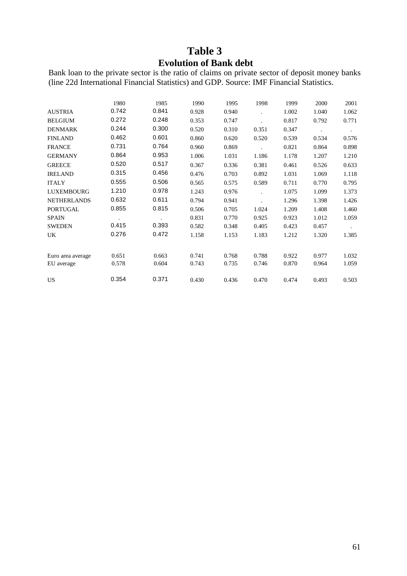## **Table 3 Evolution of Bank debt**

Bank loan to the private sector is the ratio of claims on private sector of deposit money banks (line 22d International Financial Statistics) and GDP. Source: IMF Financial Statistics.

|                    | 1980  | 1985  | 1990  | 1995  | 1998  | 1999  | 2000    | 2001      |
|--------------------|-------|-------|-------|-------|-------|-------|---------|-----------|
| <b>AUSTRIA</b>     | 0.742 | 0.841 | 0.928 | 0.940 |       | 1.002 | 1.040   | 1.062     |
| <b>BELGIUM</b>     | 0.272 | 0.248 | 0.353 | 0.747 |       | 0.817 | 0.792   | 0.771     |
| <b>DENMARK</b>     | 0.244 | 0.300 | 0.520 | 0.310 | 0.351 | 0.347 | $\cdot$ | $\bullet$ |
| <b>FINLAND</b>     | 0.462 | 0.601 | 0.860 | 0.620 | 0.520 | 0.539 | 0.534   | 0.576     |
| <b>FRANCE</b>      | 0.731 | 0.764 | 0.960 | 0.869 |       | 0.821 | 0.864   | 0.898     |
| <b>GERMANY</b>     | 0.864 | 0.953 | 1.006 | 1.031 | 1.186 | 1.178 | 1.207   | 1.210     |
| <b>GREECE</b>      | 0.520 | 0.517 | 0.367 | 0.336 | 0.381 | 0.461 | 0.526   | 0.633     |
| <b>IRELAND</b>     | 0.315 | 0.456 | 0.476 | 0.703 | 0.892 | 1.031 | 1.069   | 1.118     |
| <b>ITALY</b>       | 0.555 | 0.506 | 0.565 | 0.575 | 0.589 | 0.711 | 0.770   | 0.795     |
| <b>LUXEMBOURG</b>  | 1.210 | 0.978 | 1.243 | 0.976 |       | 1.075 | 1.099   | 1.373     |
| <b>NETHERLANDS</b> | 0.632 | 0.611 | 0.794 | 0.941 |       | 1.296 | 1.398   | 1.426     |
| <b>PORTUGAL</b>    | 0.855 | 0.815 | 0.506 | 0.705 | 1.024 | 1.209 | 1.408   | 1.460     |
| <b>SPAIN</b>       |       |       | 0.831 | 0.770 | 0.925 | 0.923 | 1.012   | 1.059     |
| <b>SWEDEN</b>      | 0.415 | 0.393 | 0.582 | 0.348 | 0.405 | 0.423 | 0.457   | $\bullet$ |
| UK                 | 0.276 | 0.472 | 1.158 | 1.153 | 1.183 | 1.212 | 1.320   | 1.385     |
| Euro area average  | 0.651 | 0.663 | 0.741 | 0.768 | 0.788 | 0.922 | 0.977   | 1.032     |
| EU average         | 0.578 | 0.604 | 0.743 | 0.735 | 0.746 | 0.870 | 0.964   | 1.059     |
| <b>US</b>          | 0.354 | 0.371 | 0.430 | 0.436 | 0.470 | 0.474 | 0.493   | 0.503     |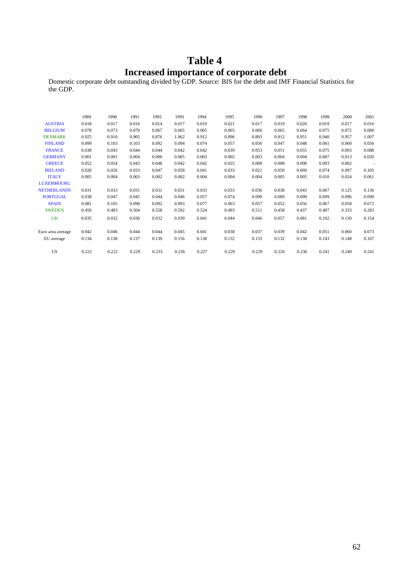### **Increased importance of corporate debt**

Domestic corporate debt outstanding divided by GDP. Source: BIS for the debt and IMF Financial Statistics for the GDP.

|                    | 1989  | 1990  | 1991  | 1992  | 1993  | 1994  | 1995  | 1996  | 1997  | 1998  | 1999  | 2000  | 2001  |
|--------------------|-------|-------|-------|-------|-------|-------|-------|-------|-------|-------|-------|-------|-------|
| <b>AUSTRIA</b>     | 0.018 | 0.017 | 0.016 | 0.014 | 0.017 | 0.019 | 0.021 | 0.017 | 0.019 | 0.020 | 0.019 | 0.017 | 0.016 |
| <b>BELGIUM</b>     | 0.078 | 0.073 | 0.070 | 0.067 | 0.065 | 0.065 | 0.065 | 0.066 | 0.065 | 0.064 | 0.075 | 0.072 | 0.080 |
| <b>DENMARK</b>     | 0.925 | 0.910 | 0.905 | 0.876 | 1.062 | 0.912 | 0.896 | 0.893 | 0.912 | 0.951 | 0.940 | 0.957 | 1.007 |
| <b>FINLAND</b>     | 0.099 | 0.103 | 0.103 | 0.092 | 0.094 | 0.074 | 0.057 | 0.056 | 0.047 | 0.048 | 0.061 | 0.060 | 0.056 |
| <b>FRANCE</b>      | 0.038 | 0.043 | 0.044 | 0.044 | 0.042 | 0.042 | 0.039 | 0.053 | 0.051 | 0.055 | 0.075 | 0.093 | 0.088 |
| <b>GERMANY</b>     | 0.001 | 0.001 | 0.004 | 0.006 | 0.005 | 0.003 | 0.002 | 0.003 | 0.004 | 0.004 | 0.007 | 0.013 | 0.020 |
| <b>GREECE</b>      | 0.052 | 0.054 | 0.043 | 0.048 | 0.042 | 0.042 | 0.025 | 0.008 | 0.008 | 0.008 | 0.003 | 0.002 | ł,    |
| <b>IRELAND</b>     | 0.020 | 0.026 | 0.033 | 0.047 | 0.058 | 0.041 | 0.033 | 0.021 | 0.050 | 0.060 | 0.074 | 0.097 | 0.105 |
| <b>ITALY</b>       | 0.005 | 0.004 | 0.003 | 0.002 | 0.002 | 0.004 | 0.004 | 0.004 | 0.005 | 0.005 | 0.010 | 0.024 | 0.061 |
| <b>LUXEMBOURG</b>  |       |       |       |       |       |       |       |       |       |       |       |       |       |
| <b>NETHERLANDS</b> | 0.031 | 0.033 | 0.031 | 0.031 | 0.031 | 0.033 | 0.033 | 0.036 | 0.038 | 0.043 | 0.067 | 0.125 | 0.136 |
| <b>PORTUGAL</b>    | 0.038 | 0.047 | 0.045 | 0.044 | 0.046 | 0.057 | 0.074 | 0.090 | 0.089 | 0.099 | 0.099 | 0.096 | 0.090 |
| <b>SPAIN</b>       | 0.081 | 0.105 | 0.090 | 0.092 | 0.093 | 0.077 | 0.063 | 0.057 | 0.052 | 0.056 | 0.067 | 0.058 | 0.072 |
| <b>SWEDEN</b>      | 0.450 | 0.483 | 0.504 | 0.558 | 0.592 | 0.524 | 0.493 | 0.511 | 0.458 | 0.437 | 0.407 | 0.333 | 0.283 |
| UK                 | 0.035 | 0.032 | 0.030 | 0.032 | 0.039 | 0.041 | 0.044 | 0.046 | 0.057 | 0.081 | 0.102 | 0.130 | 0.154 |
| Euro area average  | 0.042 | 0.046 | 0.044 | 0.044 | 0.045 | 0.041 | 0.038 | 0.037 | 0.039 | 0.042 | 0.051 | 0.060 | 0.073 |
| EU average         | 0.134 | 0.138 | 0.137 | 0.139 | 0.156 | 0.138 | 0.132 | 0.133 | 0.132 | 0.138 | 0.143 | 0.148 | 0.167 |
| US                 | 0.222 | 0.222 | 0.229 | 0.233 | 0.236 | 0.227 | 0.229 | 0.229 | 0.226 | 0.236 | 0.241 | 0.240 | 0.241 |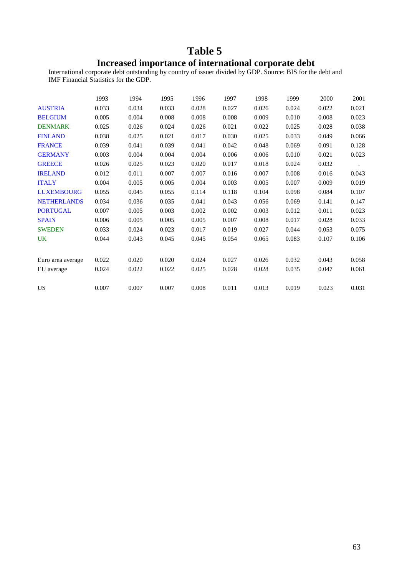### **Increased importance of international corporate debt**

International corporate debt outstanding by country of issuer divided by GDP. Source: BIS for the debt and IMF Financial Statistics for the GDP.

|                    | 1993  | 1994  | 1995  | 1996  | 1997  | 1998  | 1999  | 2000  | 2001  |
|--------------------|-------|-------|-------|-------|-------|-------|-------|-------|-------|
| <b>AUSTRIA</b>     | 0.033 | 0.034 | 0.033 | 0.028 | 0.027 | 0.026 | 0.024 | 0.022 | 0.021 |
| <b>BELGIUM</b>     | 0.005 | 0.004 | 0.008 | 0.008 | 0.008 | 0.009 | 0.010 | 0.008 | 0.023 |
| <b>DENMARK</b>     | 0.025 | 0.026 | 0.024 | 0.026 | 0.021 | 0.022 | 0.025 | 0.028 | 0.038 |
| <b>FINLAND</b>     | 0.038 | 0.025 | 0.021 | 0.017 | 0.030 | 0.025 | 0.033 | 0.049 | 0.066 |
| <b>FRANCE</b>      | 0.039 | 0.041 | 0.039 | 0.041 | 0.042 | 0.048 | 0.069 | 0.091 | 0.128 |
| <b>GERMANY</b>     | 0.003 | 0.004 | 0.004 | 0.004 | 0.006 | 0.006 | 0.010 | 0.021 | 0.023 |
| <b>GREECE</b>      | 0.026 | 0.025 | 0.023 | 0.020 | 0.017 | 0.018 | 0.024 | 0.032 |       |
| <b>IRELAND</b>     | 0.012 | 0.011 | 0.007 | 0.007 | 0.016 | 0.007 | 0.008 | 0.016 | 0.043 |
| <b>ITALY</b>       | 0.004 | 0.005 | 0.005 | 0.004 | 0.003 | 0.005 | 0.007 | 0.009 | 0.019 |
| <b>LUXEMBOURG</b>  | 0.055 | 0.045 | 0.055 | 0.114 | 0.118 | 0.104 | 0.098 | 0.084 | 0.107 |
| <b>NETHERLANDS</b> | 0.034 | 0.036 | 0.035 | 0.041 | 0.043 | 0.056 | 0.069 | 0.141 | 0.147 |
| <b>PORTUGAL</b>    | 0.007 | 0.005 | 0.003 | 0.002 | 0.002 | 0.003 | 0.012 | 0.011 | 0.023 |
| <b>SPAIN</b>       | 0.006 | 0.005 | 0.005 | 0.005 | 0.007 | 0.008 | 0.017 | 0.028 | 0.033 |
| <b>SWEDEN</b>      | 0.033 | 0.024 | 0.023 | 0.017 | 0.019 | 0.027 | 0.044 | 0.053 | 0.075 |
| UK                 | 0.044 | 0.043 | 0.045 | 0.045 | 0.054 | 0.065 | 0.083 | 0.107 | 0.106 |
| Euro area average  | 0.022 | 0.020 | 0.020 | 0.024 | 0.027 | 0.026 | 0.032 | 0.043 | 0.058 |
| EU average         | 0.024 | 0.022 | 0.022 | 0.025 | 0.028 | 0.028 | 0.035 | 0.047 | 0.061 |
| <b>US</b>          | 0.007 | 0.007 | 0.007 | 0.008 | 0.011 | 0.013 | 0.019 | 0.023 | 0.031 |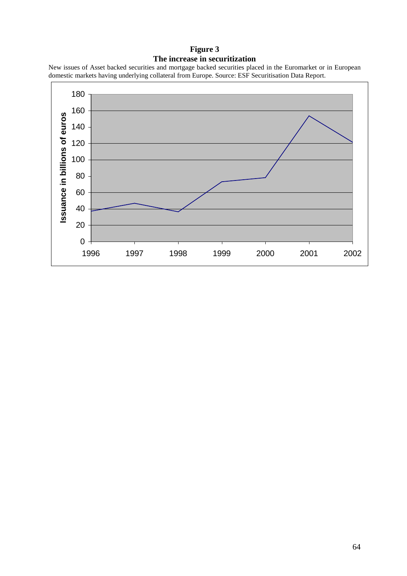### **Figure 3 The increase in securitization**

New issues of Asset backed securities and mortgage backed securities placed in the Euromarket or in European domestic markets having underlying collateral from Europe. Source: ESF Securitisation Data Report.

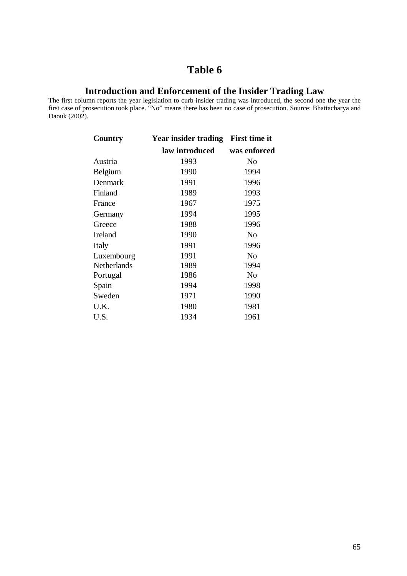### **Introduction and Enforcement of the Insider Trading Law**

The first column reports the year legislation to curb insider trading was introduced, the second one the year the first case of prosecution took place. "No" means there has been no case of prosecution. Source: Bhattacharya and Daouk (2002).

| Country            | Year insider trading | First time it  |  |  |  |
|--------------------|----------------------|----------------|--|--|--|
|                    | law introduced       | was enforced   |  |  |  |
| Austria            | 1993                 | No             |  |  |  |
| Belgium            | 1990                 | 1994           |  |  |  |
| Denmark            | 1991                 | 1996           |  |  |  |
| Finland            | 1989                 | 1993           |  |  |  |
| France             | 1967                 | 1975           |  |  |  |
| Germany            | 1994                 | 1995           |  |  |  |
| Greece             | 1988                 | 1996           |  |  |  |
| Ireland            | 1990                 | No             |  |  |  |
| Italy              | 1991                 | 1996           |  |  |  |
| Luxembourg         | 1991                 | N <sub>o</sub> |  |  |  |
| <b>Netherlands</b> | 1989                 | 1994           |  |  |  |
| Portugal           | 1986                 | No             |  |  |  |
| Spain              | 1994                 | 1998           |  |  |  |
| Sweden             | 1971                 | 1990           |  |  |  |
| U.K.               | 1980                 | 1981           |  |  |  |
| U.S.               | 1934                 | 1961           |  |  |  |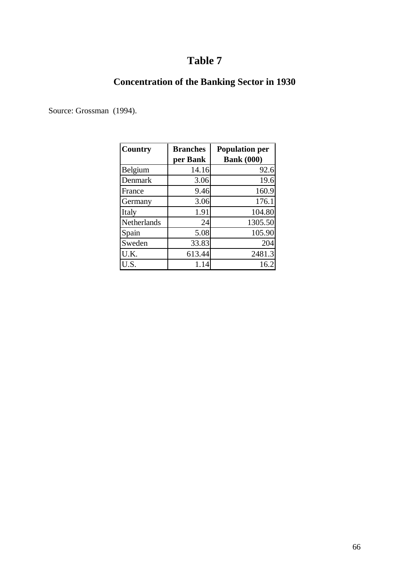## **Concentration of the Banking Sector in 1930**

Source: Grossman (1994).

| <b>Country</b> | <b>Branches</b> | <b>Population per</b> |
|----------------|-----------------|-----------------------|
|                | per Bank        | <b>Bank</b> (000)     |
| Belgium        | 14.16           | 92.6                  |
| Denmark        | 3.06            | 19.6                  |
| France         | 9.46            | 160.9                 |
| Germany        | 3.06            | 176.1                 |
| Italy          | 1.91            | 104.80                |
| Netherlands    | 24              | 1305.50               |
| Spain          | 5.08            | 105.90                |
| Sweden         | 33.83           | 204                   |
| U.K.           | 613.44          | 2481.3                |
| U.S.           | 1.14            | 16.2                  |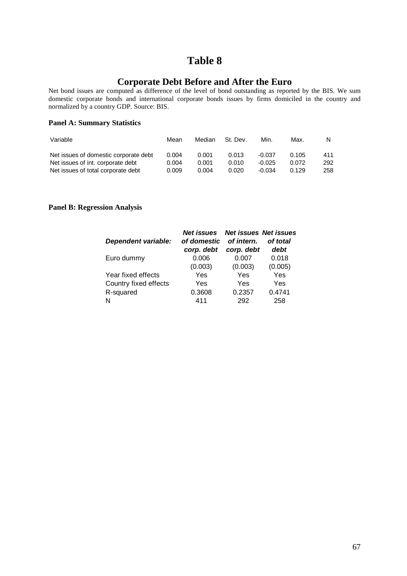### **Corporate Debt Before and After the Euro**

Net bond issues are computed as difference of the level of bond outstanding as reported by the BIS. We sum domestic corporate bonds and international corporate bonds issues by firms domiciled in the country and normalized by a country GDP. Source: BIS.

#### **Panel A: Summary Statistics**

| Variable                              | Mean  | Median | St. Dev. | Min.     | Max.  | N    |
|---------------------------------------|-------|--------|----------|----------|-------|------|
| Net issues of domestic corporate debt | 0.004 | 0.001  | 0.013    | $-0.037$ | 0.105 | 411  |
| Net issues of int. corporate debt     | 0.004 | 0.001  | 0.010    | $-0.025$ | 0.072 | 292. |
| Net issues of total corporate debt    | 0.009 | 0.004  | 0.020    | $-0.034$ | በ 129 | 258  |

#### **Panel B: Regression Analysis**

| Dependent variable:   | <b>Net issues</b><br>of domestic<br>corp. debt | <b>Net issues Net issues</b><br>of intern.<br>corp. debt | of total<br>debt |
|-----------------------|------------------------------------------------|----------------------------------------------------------|------------------|
| Euro dummy            | 0.006                                          | 0.007                                                    | 0.018            |
|                       | (0.003)                                        | (0.003)                                                  | (0.005)          |
| Year fixed effects    | Yes                                            | Yes                                                      | Yes              |
| Country fixed effects | Yes                                            | Yes                                                      | Yes              |
| R-squared             | 0.3608                                         | 0.2357                                                   | 0.4741           |
| N                     | 411                                            | 292                                                      | 258              |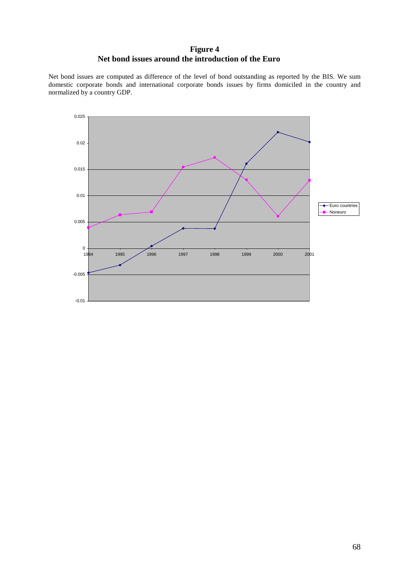### **Figure 4 Net bond issues around the introduction of the Euro**

Net bond issues are computed as difference of the level of bond outstanding as reported by the BIS. We sum domestic corporate bonds and international corporate bonds issues by firms domiciled in the country and normalized by a country GDP.